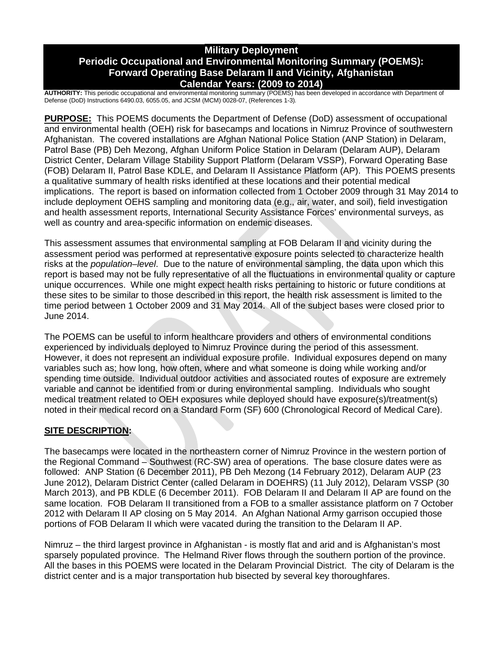# **Military Deployment Periodic Occupational and Environmental Monitoring Summary (POEMS): Forward Operating Base Delaram II and Vicinity, Afghanistan Calendar Years: (2009 to 2014)**

**AUTHORITY:** This periodic occupational and environmental monitoring summary (POEMS) has been developed in accordance with Department of Defense (DoD) Instructions 6490.03, 6055.05, and JCSM (MCM) 0028-07, (References 1-3)*.*

**PURPOSE:** This POEMS documents the Department of Defense (DoD) assessment of occupational and environmental health (OEH) risk for basecamps and locations in Nimruz Province of southwestern Afghanistan. The covered installations are Afghan National Police Station (ANP Station) in Delaram, Patrol Base (PB) Deh Mezong, Afghan Uniform Police Station in Delaram (Delaram AUP), Delaram District Center, Delaram Village Stability Support Platform (Delaram VSSP), Forward Operating Base (FOB) Delaram II, Patrol Base KDLE, and Delaram II Assistance Platform (AP). This POEMS presents a qualitative summary of health risks identified at these locations and their potential medical implications. The report is based on information collected from 1 October 2009 through 31 May 2014 to include deployment OEHS sampling and monitoring data (e.g., air, water, and soil), field investigation and health assessment reports, International Security Assistance Forces' environmental surveys, as well as country and area-specific information on endemic diseases.

This assessment assumes that environmental sampling at FOB Delaram II and vicinity during the assessment period was performed at representative exposure points selected to characterize health risks at the *population–level*. Due to the nature of environmental sampling, the data upon which this report is based may not be fully representative of all the fluctuations in environmental quality or capture unique occurrences. While one might expect health risks pertaining to historic or future conditions at these sites to be similar to those described in this report, the health risk assessment is limited to the time period between 1 October 2009 and 31 May 2014. All of the subject bases were closed prior to June 2014.

The POEMS can be useful to inform healthcare providers and others of environmental conditions experienced by individuals deployed to Nimruz Province during the period of this assessment. However, it does not represent an individual exposure profile. Individual exposures depend on many variables such as; how long, how often, where and what someone is doing while working and/or spending time outside. Individual outdoor activities and associated routes of exposure are extremely variable and cannot be identified from or during environmental sampling. Individuals who sought medical treatment related to OEH exposures while deployed should have exposure(s)/treatment(s) noted in their medical record on a Standard Form (SF) 600 (Chronological Record of Medical Care).

# **SITE DESCRIPTION:**

The basecamps were located in the northeastern corner of Nimruz Province in the western portion of the Regional Command – Southwest (RC-SW) area of operations. The base closure dates were as followed: ANP Station (6 December 2011), PB Deh Mezong (14 February 2012), Delaram AUP (23 June 2012), Delaram District Center (called Delaram in DOEHRS) (11 July 2012), Delaram VSSP (30 March 2013), and PB KDLE (6 December 2011). FOB Delaram II and Delaram II AP are found on the same location. FOB Delaram II transitioned from a FOB to a smaller assistance platform on 7 October 2012 with Delaram II AP closing on 5 May 2014. An Afghan National Army garrison occupied those portions of FOB Delaram II which were vacated during the transition to the Delaram II AP.

Nimruz – the third largest province in Afghanistan - is mostly flat and arid and is Afghanistan's most sparsely populated province. The Helmand River flows through the southern portion of the province. All the bases in this POEMS were located in the Delaram Provincial District. The city of Delaram is the district center and is a major transportation hub bisected by several key thoroughfares.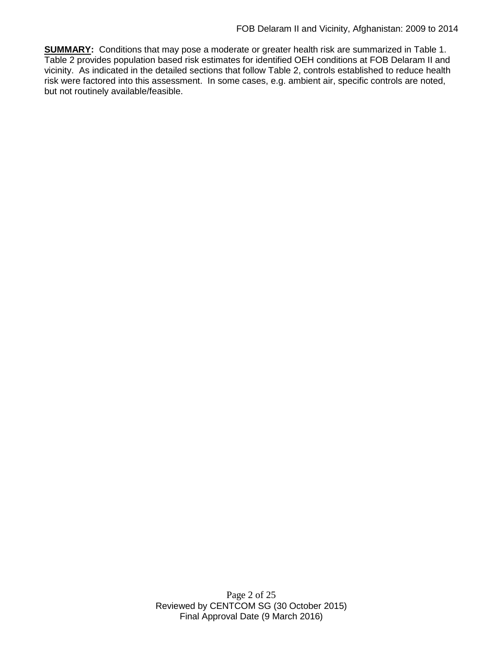**SUMMARY:** Conditions that may pose a moderate or greater health risk are summarized in Table 1. Table 2 provides population based risk estimates for identified OEH conditions at FOB Delaram II and vicinity. As indicated in the detailed sections that follow Table 2, controls established to reduce health risk were factored into this assessment. In some cases, e.g. ambient air, specific controls are noted, but not routinely available/feasible.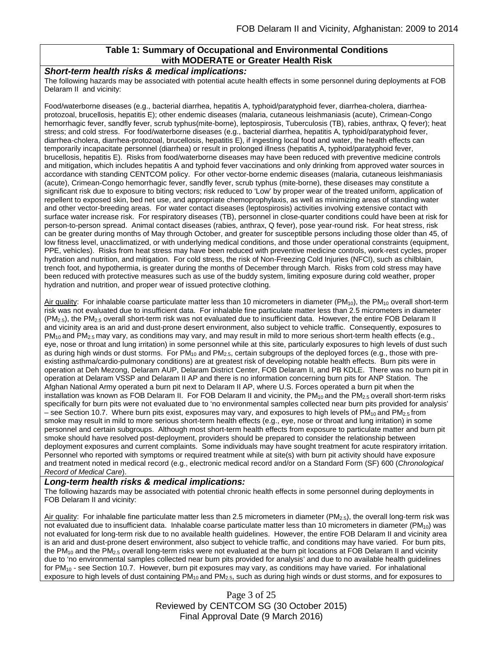### **Table 1: Summary of Occupational and Environmental Conditions with MODERATE or Greater Health Risk**

#### *Short-term health risks & medical implications:*

The following hazards may be associated with potential acute health effects in some personnel during deployments at FOB Delaram II and vicinity:

Food/waterborne diseases (e.g., bacterial diarrhea, hepatitis A, typhoid/paratyphoid fever, diarrhea-cholera, diarrheaprotozoal, brucellosis, hepatitis E); other endemic diseases (malaria, cutaneous leishmaniasis (acute), Crimean-Congo hemorrhagic fever, sandfly fever, scrub typhus(mite-borne), leptospirosis, Tuberculosis (TB), rabies, anthrax, Q fever); heat stress; and cold stress. For food/waterborne diseases (e.g., bacterial diarrhea, hepatitis A, typhoid/paratyphoid fever, diarrhea-cholera, diarrhea-protozoal, brucellosis, hepatitis E), if ingesting local food and water, the health effects can temporarily incapacitate personnel (diarrhea) or result in prolonged illness (hepatitis A, typhoid/paratyphoid fever, brucellosis, hepatitis E). Risks from food/waterborne diseases may have been reduced with preventive medicine controls and mitigation, which includes hepatitis A and typhoid fever vaccinations and only drinking from approved water sources in accordance with standing CENTCOM policy. For other vector-borne endemic diseases (malaria, cutaneous leishmaniasis (acute), Crimean-Congo hemorrhagic fever, sandfly fever, scrub typhus (mite-borne), these diseases may constitute a significant risk due to exposure to biting vectors; risk reduced to 'Low' by proper wear of the treated uniform, application of repellent to exposed skin, bed net use, and appropriate chemoprophylaxis, as well as minimizing areas of standing water and other vector-breeding areas. For water contact diseases (leptospirosis) activities involving extensive contact with surface water increase risk. For respiratory diseases (TB), personnel in close-quarter conditions could have been at risk for person-to-person spread. Animal contact diseases (rabies, anthrax, Q fever), pose year-round risk. For heat stress, risk can be greater during months of May through October, and greater for susceptible persons including those older than 45, of low fitness level, unacclimatized, or with underlying medical conditions, and those under operational constraints (equipment, PPE, vehicles). Risks from heat stress may have been reduced with preventive medicine controls, work-rest cycles, proper hydration and nutrition, and mitigation. For cold stress, the risk of Non-Freezing Cold Injuries (NFCI), such as chilblain, trench foot, and hypothermia, is greater during the months of December through March. Risks from cold stress may have been reduced with protective measures such as use of the buddy system, limiting exposure during cold weather, proper hydration and nutrition, and proper wear of issued protective clothing.

Air quality: For inhalable coarse particulate matter less than 10 micrometers in diameter (PM<sub>10</sub>), the PM<sub>10</sub> overall short-term risk was not evaluated due to insufficient data. For inhalable fine particulate matter less than 2.5 micrometers in diameter  $(PM<sub>2.5</sub>)$ , the PM<sub>2.5</sub> overall short-term risk was not evaluated due to insufficient data. However, the entire FOB Delaram II and vicinity area is an arid and dust-prone desert environment, also subject to vehicle traffic. Consequently, exposures to  $PM_{10}$  and  $PM_{2.5}$  may vary, as conditions may vary, and may result in mild to more serious short-term health effects (e.g., eye, nose or throat and lung irritation) in some personnel while at this site, particularly exposures to high levels of dust such as during high winds or dust storms. For  $PM_{10}$  and  $PM_{2.5}$ , certain subgroups of the deployed forces (e.g., those with preexisting asthma/cardio-pulmonary conditions) are at greatest risk of developing notable health effects. Burn pits were in operation at Deh Mezong, Delaram AUP, Delaram District Center, FOB Delaram II, and PB KDLE. There was no burn pit in operation at Delaram VSSP and Delaram II AP and there is no information concerning burn pits for ANP Station. The Afghan National Army operated a burn pit next to Delaram II AP, where U.S. Forces operated a burn pit when the installation was known as FOB Delaram II. For FOB Delaram II and vicinity, the PM<sub>10</sub> and the PM<sub>2.5</sub> overall short-term risks specifically for burn pits were not evaluated due to 'no environmental samples collected near burn pits provided for analysis' – see Section 10.7. Where burn pits exist, exposures may vary, and exposures to high levels of  $PM_{10}$  and  $PM_{2.5}$  from smoke may result in mild to more serious short-term health effects (e.g., eye, nose or throat and lung irritation) in some personnel and certain subgroups. Although most short-term health effects from exposure to particulate matter and burn pit smoke should have resolved post-deployment, providers should be prepared to consider the relationship between deployment exposures and current complaints. Some individuals may have sought treatment for acute respiratory irritation. Personnel who reported with symptoms or required treatment while at site(s) with burn pit activity should have exposure and treatment noted in medical record (e.g., electronic medical record and/or on a Standard Form (SF) 600 (*Chronological Record of Medical Care*).

### *Long-term health risks & medical implications:*

The following hazards may be associated with potential chronic health effects in some personnel during deployments in FOB Delaram II and vicinity:

Air quality: For inhalable fine particulate matter less than 2.5 micrometers in diameter (PM<sub>2.5</sub>), the overall long-term risk was not evaluated due to insufficient data. Inhalable coarse particulate matter less than 10 micrometers in diameter  $(PM_{10})$  was not evaluated for long-term risk due to no available health guidelines. However, the entire FOB Delaram II and vicinity area is an arid and dust-prone desert environment, also subject to vehicle traffic, and conditions may have varied. For burn pits, the PM<sub>10</sub> and the PM<sub>2.5</sub> overall long-term risks were not evaluated at the burn pit locations at FOB Delaram II and vicinity due to 'no environmental samples collected near burn pits provided for analysis' and due to no available health guidelines for PM<sub>10</sub> - see Section 10.7. However, burn pit exposures may vary, as conditions may have varied. For inhalational exposure to high levels of dust containing  $PM_{10}$  and  $PM_{2.5}$ , such as during high winds or dust storms, and for exposures to

> Page 3 of 25 Reviewed by CENTCOM SG (30 October 2015) Final Approval Date (9 March 2016)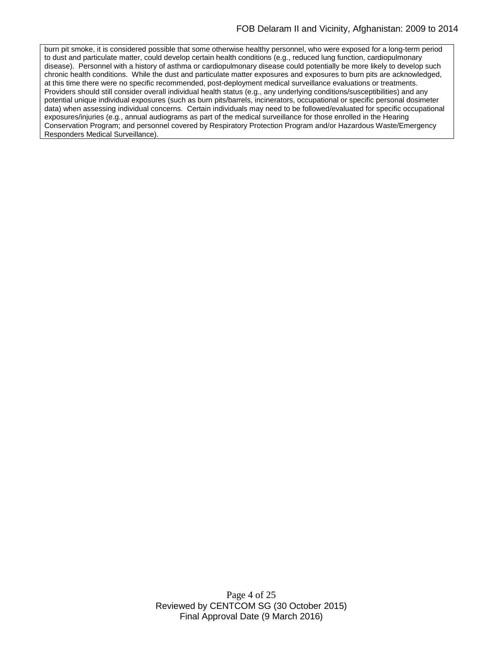burn pit smoke, it is considered possible that some otherwise healthy personnel, who were exposed for a long-term period to dust and particulate matter, could develop certain health conditions (e.g., reduced lung function, cardiopulmonary disease). Personnel with a history of asthma or cardiopulmonary disease could potentially be more likely to develop such chronic health conditions. While the dust and particulate matter exposures and exposures to burn pits are acknowledged, at this time there were no specific recommended, post-deployment medical surveillance evaluations or treatments. Providers should still consider overall individual health status (e.g., any underlying conditions/susceptibilities) and any potential unique individual exposures (such as burn pits/barrels, incinerators, occupational or specific personal dosimeter data) when assessing individual concerns. Certain individuals may need to be followed/evaluated for specific occupational exposures/injuries (e.g., annual audiograms as part of the medical surveillance for those enrolled in the Hearing Conservation Program; and personnel covered by Respiratory Protection Program and/or Hazardous Waste/Emergency Responders Medical Surveillance).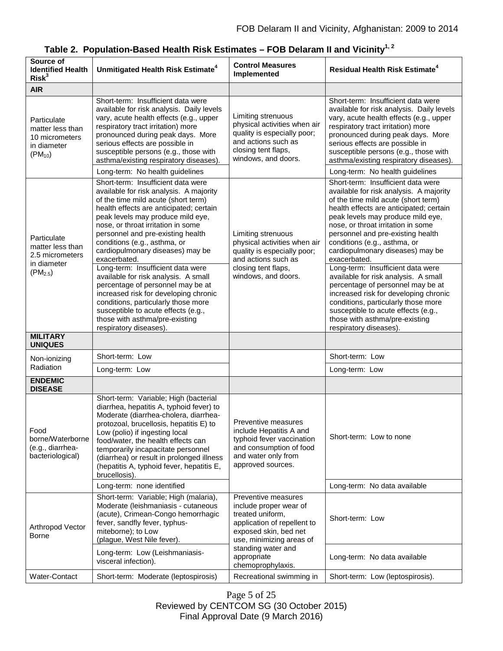| Source of<br><b>Identified Health</b><br>Risk <sup>3</sup>                      | Unmitigated Health Risk Estimate <sup>4</sup>                                                                                                                                                                                                                                                                                                                                                            | <b>Control Measures</b><br>Implemented                                                                                                                                                                          | <b>Residual Health Risk Estimate<sup>4</sup></b>                                                                                                                                                                                                                                                                                                                                                         |
|---------------------------------------------------------------------------------|----------------------------------------------------------------------------------------------------------------------------------------------------------------------------------------------------------------------------------------------------------------------------------------------------------------------------------------------------------------------------------------------------------|-----------------------------------------------------------------------------------------------------------------------------------------------------------------------------------------------------------------|----------------------------------------------------------------------------------------------------------------------------------------------------------------------------------------------------------------------------------------------------------------------------------------------------------------------------------------------------------------------------------------------------------|
| <b>AIR</b>                                                                      |                                                                                                                                                                                                                                                                                                                                                                                                          |                                                                                                                                                                                                                 |                                                                                                                                                                                                                                                                                                                                                                                                          |
| Particulate<br>matter less than<br>10 micrometers<br>in diameter<br>$(PM_{10})$ | Short-term: Insufficient data were<br>available for risk analysis. Daily levels<br>vary, acute health effects (e.g., upper<br>respiratory tract irritation) more<br>pronounced during peak days. More<br>serious effects are possible in<br>susceptible persons (e.g., those with<br>asthma/existing respiratory diseases).<br>Long-term: No health guidelines                                           | Limiting strenuous<br>physical activities when air<br>quality is especially poor;<br>and actions such as<br>closing tent flaps,<br>windows, and doors.                                                          | Short-term: Insufficient data were<br>available for risk analysis. Daily levels<br>vary, acute health effects (e.g., upper<br>respiratory tract irritation) more<br>pronounced during peak days. More<br>serious effects are possible in<br>susceptible persons (e.g., those with<br>asthma/existing respiratory diseases).<br>Long-term: No health guidelines                                           |
| Particulate<br>matter less than<br>2.5 micrometers<br>in diameter               | Short-term: Insufficient data were<br>available for risk analysis. A majority<br>of the time mild acute (short term)<br>health effects are anticipated; certain<br>peak levels may produce mild eye,<br>nose, or throat irritation in some<br>personnel and pre-existing health<br>conditions (e.g., asthma, or<br>cardiopulmonary diseases) may be<br>exacerbated.<br>Long-term: Insufficient data were | Limiting strenuous<br>physical activities when air<br>quality is especially poor;<br>and actions such as<br>closing tent flaps,                                                                                 | Short-term: Insufficient data were<br>available for risk analysis. A majority<br>of the time mild acute (short term)<br>health effects are anticipated; certain<br>peak levels may produce mild eye,<br>nose, or throat irritation in some<br>personnel and pre-existing health<br>conditions (e.g., asthma, or<br>cardiopulmonary diseases) may be<br>exacerbated.<br>Long-term: Insufficient data were |
| $(PM_{2.5})$                                                                    | available for risk analysis. A small<br>percentage of personnel may be at<br>increased risk for developing chronic<br>conditions, particularly those more<br>susceptible to acute effects (e.g.,<br>those with asthma/pre-existing<br>respiratory diseases).                                                                                                                                             | windows, and doors.                                                                                                                                                                                             | available for risk analysis. A small<br>percentage of personnel may be at<br>increased risk for developing chronic<br>conditions, particularly those more<br>susceptible to acute effects (e.g.,<br>those with asthma/pre-existing<br>respiratory diseases).                                                                                                                                             |
| <b>MILITARY</b><br><b>UNIQUES</b>                                               |                                                                                                                                                                                                                                                                                                                                                                                                          |                                                                                                                                                                                                                 |                                                                                                                                                                                                                                                                                                                                                                                                          |
| Non-ionizing                                                                    | Short-term: Low                                                                                                                                                                                                                                                                                                                                                                                          |                                                                                                                                                                                                                 | Short-term: Low                                                                                                                                                                                                                                                                                                                                                                                          |
| Radiation                                                                       | Long-term: Low                                                                                                                                                                                                                                                                                                                                                                                           |                                                                                                                                                                                                                 | Long-term: Low                                                                                                                                                                                                                                                                                                                                                                                           |
| <b>ENDEMIC</b><br><b>DISEASE</b>                                                |                                                                                                                                                                                                                                                                                                                                                                                                          |                                                                                                                                                                                                                 |                                                                                                                                                                                                                                                                                                                                                                                                          |
| Food<br>borne/Waterborne<br>(e.g., diarrhea-<br>bacteriological)                | Short-term: Variable; High (bacterial<br>diarrhea, hepatitis A, typhoid fever) to<br>Moderate (diarrhea-cholera, diarrhea-<br>protozoal, brucellosis, hepatitis E) to<br>Low (polio) if ingesting local<br>food/water, the health effects can<br>temporarily incapacitate personnel<br>(diarrhea) or result in prolonged illness<br>(hepatitis A, typhoid fever, hepatitis E,<br>brucellosis).           | Preventive measures<br>include Hepatitis A and<br>typhoid fever vaccination<br>and consumption of food<br>and water only from<br>approved sources.                                                              | Short-term: Low to none                                                                                                                                                                                                                                                                                                                                                                                  |
|                                                                                 | Long-term: none identified                                                                                                                                                                                                                                                                                                                                                                               |                                                                                                                                                                                                                 | Long-term: No data available                                                                                                                                                                                                                                                                                                                                                                             |
| Arthropod Vector<br>Borne                                                       | Short-term: Variable; High (malaria),<br>Moderate (leishmaniasis - cutaneous<br>(acute), Crimean-Congo hemorrhagic<br>fever, sandfly fever, typhus-<br>miteborne); to Low<br>(plague, West Nile fever).                                                                                                                                                                                                  | Preventive measures<br>include proper wear of<br>treated uniform,<br>application of repellent to<br>exposed skin, bed net<br>use, minimizing areas of<br>standing water and<br>appropriate<br>chemoprophylaxis. | Short-term: Low                                                                                                                                                                                                                                                                                                                                                                                          |
|                                                                                 | Long-term: Low (Leishmaniasis-<br>visceral infection).                                                                                                                                                                                                                                                                                                                                                   |                                                                                                                                                                                                                 | Long-term: No data available                                                                                                                                                                                                                                                                                                                                                                             |
| Water-Contact                                                                   | Short-term: Moderate (leptospirosis)                                                                                                                                                                                                                                                                                                                                                                     | Recreational swimming in                                                                                                                                                                                        | Short-term: Low (leptospirosis).                                                                                                                                                                                                                                                                                                                                                                         |

**Table 2. Population-Based Health Risk Estimates – FOB Delaram II and Vicinity1, 2**

Page 5 of 25 Reviewed by CENTCOM SG (30 October 2015) Final Approval Date (9 March 2016)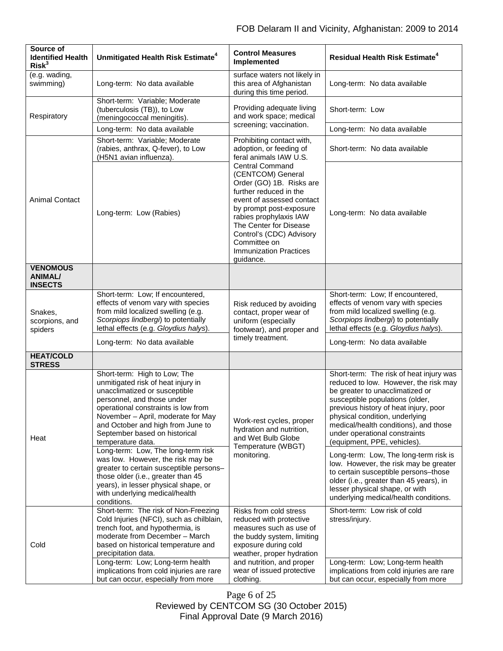| Source of<br><b>Identified Health</b><br>Risk <sup>3</sup> | Unmitigated Health Risk Estimate <sup>4</sup>                                                                                                                                                                                                                                                             | <b>Control Measures</b><br>Implemented                                                                                                                                                                                                                                                                                                                                                    | <b>Residual Health Risk Estimate<sup>4</sup></b>                                                                                                                                                                                                                                                                                           |
|------------------------------------------------------------|-----------------------------------------------------------------------------------------------------------------------------------------------------------------------------------------------------------------------------------------------------------------------------------------------------------|-------------------------------------------------------------------------------------------------------------------------------------------------------------------------------------------------------------------------------------------------------------------------------------------------------------------------------------------------------------------------------------------|--------------------------------------------------------------------------------------------------------------------------------------------------------------------------------------------------------------------------------------------------------------------------------------------------------------------------------------------|
| (e.g. wading,<br>swimming)                                 | Long-term: No data available                                                                                                                                                                                                                                                                              | surface waters not likely in<br>this area of Afghanistan<br>during this time period.                                                                                                                                                                                                                                                                                                      | Long-term: No data available                                                                                                                                                                                                                                                                                                               |
| Respiratory                                                | Short-term: Variable; Moderate<br>(tuberculosis (TB)), to Low<br>(meningococcal meningitis)                                                                                                                                                                                                               | Providing adequate living<br>and work space; medical<br>screening; vaccination.                                                                                                                                                                                                                                                                                                           | Short-term: Low                                                                                                                                                                                                                                                                                                                            |
|                                                            | Long-term: No data available                                                                                                                                                                                                                                                                              |                                                                                                                                                                                                                                                                                                                                                                                           | Long-term: No data available                                                                                                                                                                                                                                                                                                               |
| <b>Animal Contact</b>                                      | Short-term: Variable; Moderate<br>(rabies, anthrax, Q-fever), to Low<br>(H5N1 avian influenza).                                                                                                                                                                                                           | Prohibiting contact with,<br>adoption, or feeding of<br>feral animals IAW U.S.<br><b>Central Command</b><br>(CENTCOM) General<br>Order (GO) 1B. Risks are<br>further reduced in the<br>event of assessed contact<br>by prompt post-exposure<br>rabies prophylaxis IAW<br>The Center for Disease<br>Control's (CDC) Advisory<br>Committee on<br><b>Immunization Practices</b><br>guidance. | Short-term: No data available                                                                                                                                                                                                                                                                                                              |
|                                                            | Long-term: Low (Rabies)                                                                                                                                                                                                                                                                                   |                                                                                                                                                                                                                                                                                                                                                                                           | Long-term: No data available                                                                                                                                                                                                                                                                                                               |
|                                                            |                                                                                                                                                                                                                                                                                                           |                                                                                                                                                                                                                                                                                                                                                                                           |                                                                                                                                                                                                                                                                                                                                            |
| Snakes,<br>scorpions, and<br>spiders                       | Short-term: Low; If encountered,<br>effects of venom vary with species<br>from mild localized swelling (e.g.<br>Scorpiops lindbergi) to potentially<br>lethal effects (e.g. Gloydius halys).                                                                                                              | Risk reduced by avoiding<br>contact, proper wear of<br>uniform (especially<br>footwear), and proper and<br>timely treatment.                                                                                                                                                                                                                                                              | Short-term: Low; If encountered,<br>effects of venom vary with species<br>from mild localized swelling (e.g.<br>Scorpiops lindbergi) to potentially<br>lethal effects (e.g. Gloydius halys).                                                                                                                                               |
|                                                            | Long-term: No data available                                                                                                                                                                                                                                                                              |                                                                                                                                                                                                                                                                                                                                                                                           | Long-term: No data available                                                                                                                                                                                                                                                                                                               |
| <b>HEAT/COLD</b><br><b>STRESS</b>                          |                                                                                                                                                                                                                                                                                                           |                                                                                                                                                                                                                                                                                                                                                                                           |                                                                                                                                                                                                                                                                                                                                            |
| Heat                                                       | Short-term: High to Low; The<br>unmitigated risk of heat injury in<br>unacclimatized or susceptible<br>personnel, and those under<br>operational constraints is low from<br>November - April, moderate for May<br>and October and high from June to<br>September based on historical<br>temperature data. | Work-rest cycles, proper<br>hydration and nutrition,<br>and Wet Bulb Globe<br>Temperature (WBGT)<br>monitoring.                                                                                                                                                                                                                                                                           | Short-term: The risk of heat injury was<br>reduced to low. However, the risk may<br>be greater to unacclimatized or<br>susceptible populations (older,<br>previous history of heat injury, poor<br>physical condition, underlying<br>medical/health conditions), and those<br>under operational constraints<br>(equipment, PPE, vehicles). |
|                                                            | Long-term: Low, The long-term risk<br>was low. However, the risk may be<br>greater to certain susceptible persons-<br>those older (i.e., greater than 45<br>years), in lesser physical shape, or<br>with underlying medical/health<br>conditions.                                                         |                                                                                                                                                                                                                                                                                                                                                                                           | Long-term: Low, The long-term risk is<br>low. However, the risk may be greater<br>to certain susceptible persons-those<br>older (i.e., greater than 45 years), in<br>lesser physical shape, or with<br>underlying medical/health conditions.                                                                                               |
| Cold                                                       | Short-term: The risk of Non-Freezing<br>Cold Injuries (NFCI), such as chilblain,<br>trench foot, and hypothermia, is<br>moderate from December - March<br>based on historical temperature and<br>precipitation data.                                                                                      | Risks from cold stress<br>reduced with protective<br>measures such as use of<br>the buddy system, limiting<br>exposure during cold<br>weather, proper hydration                                                                                                                                                                                                                           | Short-term: Low risk of cold<br>stress/injury.                                                                                                                                                                                                                                                                                             |
|                                                            | Long-term: Low; Long-term health<br>implications from cold injuries are rare<br>but can occur, especially from more                                                                                                                                                                                       | and nutrition, and proper<br>wear of issued protective<br>clothing.                                                                                                                                                                                                                                                                                                                       | Long-term: Low; Long-term health<br>implications from cold injuries are rare<br>but can occur, especially from more                                                                                                                                                                                                                        |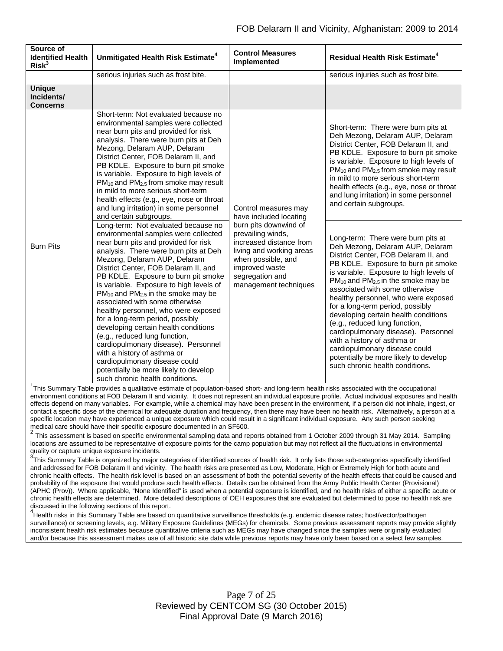| Source of<br><b>Identified Health</b><br>Risk <sup>3</sup> | Unmitigated Health Risk Estimate <sup>4</sup>                                                                                                                                                                                                                                                                                                                                                                                                                                                                                                                                                                                                                                                                                                                                                                                                                                                                                                                                                                                                                                                                                                                                                                                                                                       | <b>Control Measures</b><br>Implemented                                                                                                                                                                                                  | <b>Residual Health Risk Estimate<sup>4</sup></b>                                                                                                                                                                                                                                                                                                                                                                                                                                                                                                                                                                                                                                                                                                                                                                                                                                                                                                                                                                                        |
|------------------------------------------------------------|-------------------------------------------------------------------------------------------------------------------------------------------------------------------------------------------------------------------------------------------------------------------------------------------------------------------------------------------------------------------------------------------------------------------------------------------------------------------------------------------------------------------------------------------------------------------------------------------------------------------------------------------------------------------------------------------------------------------------------------------------------------------------------------------------------------------------------------------------------------------------------------------------------------------------------------------------------------------------------------------------------------------------------------------------------------------------------------------------------------------------------------------------------------------------------------------------------------------------------------------------------------------------------------|-----------------------------------------------------------------------------------------------------------------------------------------------------------------------------------------------------------------------------------------|-----------------------------------------------------------------------------------------------------------------------------------------------------------------------------------------------------------------------------------------------------------------------------------------------------------------------------------------------------------------------------------------------------------------------------------------------------------------------------------------------------------------------------------------------------------------------------------------------------------------------------------------------------------------------------------------------------------------------------------------------------------------------------------------------------------------------------------------------------------------------------------------------------------------------------------------------------------------------------------------------------------------------------------------|
|                                                            | serious injuries such as frost bite.                                                                                                                                                                                                                                                                                                                                                                                                                                                                                                                                                                                                                                                                                                                                                                                                                                                                                                                                                                                                                                                                                                                                                                                                                                                |                                                                                                                                                                                                                                         | serious injuries such as frost bite.                                                                                                                                                                                                                                                                                                                                                                                                                                                                                                                                                                                                                                                                                                                                                                                                                                                                                                                                                                                                    |
| <b>Unique</b><br>Incidents/<br><b>Concerns</b>             |                                                                                                                                                                                                                                                                                                                                                                                                                                                                                                                                                                                                                                                                                                                                                                                                                                                                                                                                                                                                                                                                                                                                                                                                                                                                                     |                                                                                                                                                                                                                                         |                                                                                                                                                                                                                                                                                                                                                                                                                                                                                                                                                                                                                                                                                                                                                                                                                                                                                                                                                                                                                                         |
| <b>Burn Pits</b>                                           | Short-term: Not evaluated because no<br>environmental samples were collected<br>near burn pits and provided for risk<br>analysis. There were burn pits at Deh<br>Mezong, Delaram AUP, Delaram<br>District Center, FOB Delaram II, and<br>PB KDLE. Exposure to burn pit smoke<br>is variable. Exposure to high levels of<br>$PM_{10}$ and $PM_{2.5}$ from smoke may result<br>in mild to more serious short-term<br>health effects (e.g., eye, nose or throat<br>and lung irritation) in some personnel<br>and certain subgroups.<br>Long-term: Not evaluated because no<br>environmental samples were collected<br>near burn pits and provided for risk<br>analysis. There were burn pits at Deh<br>Mezong, Delaram AUP, Delaram<br>District Center, FOB Delaram II, and<br>PB KDLE. Exposure to burn pit smoke<br>is variable. Exposure to high levels of<br>$PM_{10}$ and $PM_{2.5}$ in the smoke may be<br>associated with some otherwise<br>healthy personnel, who were exposed<br>for a long-term period, possibly<br>developing certain health conditions<br>(e.g., reduced lung function,<br>cardiopulmonary disease). Personnel<br>with a history of asthma or<br>cardiopulmonary disease could<br>potentially be more likely to develop<br>such chronic health conditions. | Control measures may<br>have included locating<br>burn pits downwind of<br>prevailing winds,<br>increased distance from<br>living and working areas<br>when possible, and<br>improved waste<br>segregation and<br>management techniques | Short-term: There were burn pits at<br>Deh Mezong, Delaram AUP, Delaram<br>District Center, FOB Delaram II, and<br>PB KDLE. Exposure to burn pit smoke<br>is variable. Exposure to high levels of<br>$PM_{10}$ and $PM_{2.5}$ from smoke may result<br>in mild to more serious short-term<br>health effects (e.g., eye, nose or throat<br>and lung irritation) in some personnel<br>and certain subgroups.<br>Long-term: There were burn pits at<br>Deh Mezong, Delaram AUP, Delaram<br>District Center, FOB Delaram II, and<br>PB KDLE. Exposure to burn pit smoke<br>is variable. Exposure to high levels of<br>$PM_{10}$ and $PM_{2.5}$ in the smoke may be<br>associated with some otherwise<br>healthy personnel, who were exposed<br>for a long-term period, possibly<br>developing certain health conditions<br>(e.g., reduced lung function,<br>cardiopulmonary disease). Personnel<br>with a history of asthma or<br>cardiopulmonary disease could<br>potentially be more likely to develop<br>such chronic health conditions. |

<sup>1</sup>This Summary Table provides a qualitative estimate of population-based short- and long-term health risks associated with the occupational environment conditions at FOB Delaram II and vicinity. It does not represent an individual exposure profile. Actual individual exposures and health effects depend on many variables. For example, while a chemical may have been present in the environment, if a person did not inhale, ingest, or contact a specific dose of the chemical for adequate duration and frequency, then there may have been no health risk. Alternatively, a person at a specific location may have experienced a unique exposure which could result in a significant individual exposure. Any such person seeking

medical care should have their specific exposure documented in an SF600.<br><sup>2</sup> This assessment is based on specific environmental sampling data and reports obtained from 1 October 2009 through 31 May 2014. Sampling locations are assumed to be representative of exposure points for the camp population but may not reflect all the fluctuations in environmental quality or capture unique exposure incidents.

 $3$ This Summary Table is organized by major categories of identified sources of health risk. It only lists those sub-categories specifically identified and addressed for FOB Delaram II and vicinity. The health risks are presented as Low, Moderate, High or Extremely High for both acute and chronic health effects. The health risk level is based on an assessment of both the potential severity of the health effects that could be caused and probability of the exposure that would produce such health effects. Details can be obtained from the Army Public Health Center (Provisional) (APHC (Prov)). Where applicable, "None Identified" is used when a potential exposure is identified, and no health risks of either a specific acute or chronic health effects are determined. More detailed descriptions of OEH exposures that are evaluated but determined to pose no health risk are discussed in the following sections of this report.

4<br>Health risks in this Summary Table are based on quantitative surveillance thresholds (e.g. endemic disease rates; host/vector/pathogen surveillance) or screening levels, e.g. Military Exposure Guidelines (MEGs) for chemicals*.* Some previous assessment reports may provide slightly inconsistent health risk estimates because quantitative criteria such as MEGs may have changed since the samples were originally evaluated and/or because this assessment makes use of all historic site data while previous reports may have only been based on a select few samples.

> Page 7 of 25 Reviewed by CENTCOM SG (30 October 2015) Final Approval Date (9 March 2016)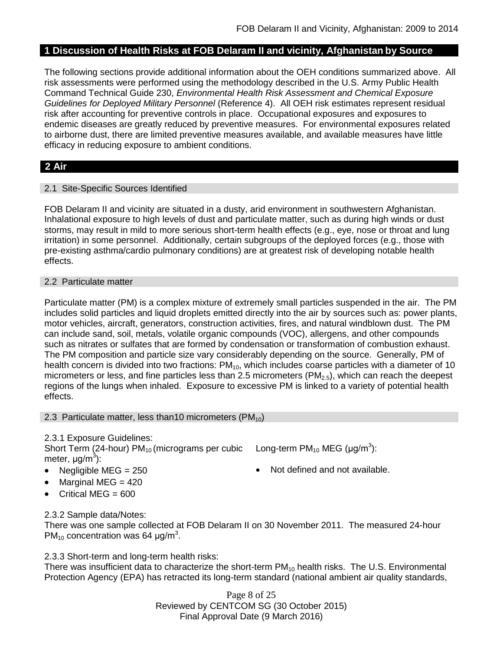# **1 Discussion of Health Risks at FOB Delaram II and vicinity, Afghanistan by Source**

The following sections provide additional information about the OEH conditions summarized above. All risk assessments were performed using the methodology described in the U.S. Army Public Health Command Technical Guide 230, *Environmental Health Risk Assessment and Chemical Exposure Guidelines for Deployed Military Personnel* (Reference 4). All OEH risk estimates represent residual risk after accounting for preventive controls in place. Occupational exposures and exposures to endemic diseases are greatly reduced by preventive measures. For environmental exposures related to airborne dust, there are limited preventive measures available, and available measures have little efficacy in reducing exposure to ambient conditions.

# **2 Air**

### 2.1 Site-Specific Sources Identified

FOB Delaram II and vicinity are situated in a dusty, arid environment in southwestern Afghanistan. Inhalational exposure to high levels of dust and particulate matter, such as during high winds or dust storms, may result in mild to more serious short-term health effects (e.g., eye, nose or throat and lung irritation) in some personnel. Additionally, certain subgroups of the deployed forces (e.g., those with pre-existing asthma/cardio pulmonary conditions) are at greatest risk of developing notable health effects.

### 2.2 Particulate matter

Particulate matter (PM) is a complex mixture of extremely small particles suspended in the air. The PM includes solid particles and liquid droplets emitted directly into the air by sources such as: power plants, motor vehicles, aircraft, generators, construction activities, fires, and natural windblown dust. The PM can include sand, soil, metals, volatile organic compounds (VOC), allergens, and other compounds such as nitrates or sulfates that are formed by condensation or transformation of combustion exhaust. The PM composition and particle size vary considerably depending on the source. Generally, PM of health concern is divided into two fractions: PM<sub>10</sub>, which includes coarse particles with a diameter of 10 micrometers or less, and fine particles less than 2.5 micrometers ( $PM<sub>2.5</sub>$ ), which can reach the deepest regions of the lungs when inhaled. Exposure to excessive PM is linked to a variety of potential health effects.

### 2.3 Particulate matter, less than 10 micrometers ( $PM_{10}$ )

# 2.3.1 Exposure Guidelines:

Short Term (24-hour)  $PM_{10}$  (micrograms per cubic meter, μg/m<sup>3</sup>):

- Negligible MEG = 250 Not defined and not available.
- Marginal MEG = 420
- Critical MEG = 600

Long-term PM<sub>10</sub> MEG (µg/m<sup>3</sup>):

# 2.3.2 Sample data/Notes:

There was one sample collected at FOB Delaram II on 30 November 2011. The measured 24-hour  $PM_{10}$  concentration was 64  $\mu$ g/m<sup>3</sup>.

2.3.3 Short-term and long-term health risks:

There was insufficient data to characterize the short-term  $PM_{10}$  health risks. The U.S. Environmental Protection Agency (EPA) has retracted its long-term standard (national ambient air quality standards,

> Page 8 of 25 Reviewed by CENTCOM SG (30 October 2015) Final Approval Date (9 March 2016)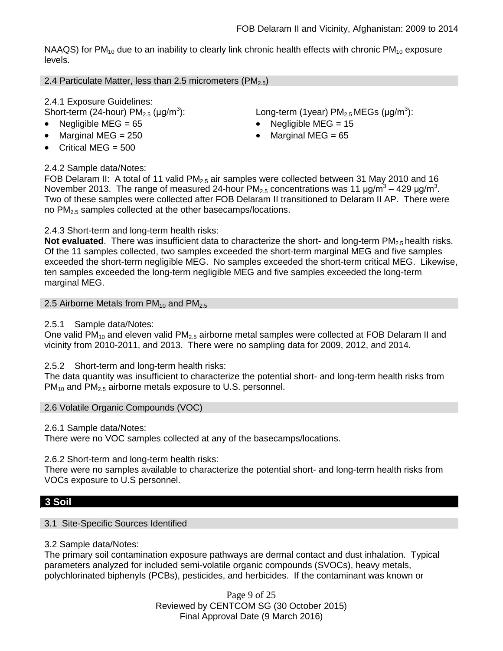NAAQS) for  $PM_{10}$  due to an inability to clearly link chronic health effects with chronic  $PM_{10}$  exposure levels.

2.4 Particulate Matter, less than 2.5 micrometers (PM<sub>2.5</sub>)

2.4.1 Exposure Guidelines:

Short-term (24-hour)  $PM_{2.5}$  (µg/m<sup>3</sup>):

- 
- 
- Critical MEG  $= 500$

# 2.4.2 Sample data/Notes:

): Long-term (1year)  $PM_{2.5}$ MEGs (µg/m<sup>3</sup>):

- Negligible MEG = 65 Negligible MEG = 15
- Marginal MEG = 250  **Marginal MEG = 65**

FOB Delaram II: A total of 11 valid  $PM<sub>2.5</sub>$  air samples were collected between 31 May 2010 and 16 November 2013. The range of measured 24-hour PM<sub>2.5</sub> concentrations was 11  $\mu$ g/m<sup>3</sup> – 429  $\mu$ g/m<sup>3</sup>. Two of these samples were collected after FOB Delaram II transitioned to Delaram II AP. There were no PM<sub>2.5</sub> samples collected at the other basecamps/locations.

# 2.4.3 Short-term and long-term health risks:

**Not evaluated**. There was insufficient data to characterize the short- and long-term PM<sub>2.5</sub> health risks. Of the 11 samples collected, two samples exceeded the short-term marginal MEG and five samples exceeded the short-term negligible MEG. No samples exceeded the short-term critical MEG. Likewise, ten samples exceeded the long-term negligible MEG and five samples exceeded the long-term marginal MEG.

2.5 Airborne Metals from  $PM_{10}$  and  $PM_{2.5}$ 

2.5.1 Sample data/Notes:

One valid PM<sub>10</sub> and eleven valid PM<sub>2.5</sub> airborne metal samples were collected at FOB Delaram II and vicinity from 2010-2011, and 2013. There were no sampling data for 2009, 2012, and 2014.

# 2.5.2 Short-term and long-term health risks:

The data quantity was insufficient to characterize the potential short- and long-term health risks from  $PM_{10}$  and  $PM_{2.5}$  airborne metals exposure to U.S. personnel.

2.6 Volatile Organic Compounds (VOC)

2.6.1 Sample data/Notes:

There were no VOC samples collected at any of the basecamps/locations.

2.6.2 Short-term and long-term health risks:

There were no samples available to characterize the potential short- and long-term health risks from VOCs exposure to U.S personnel.

# **3 Soil**

# 3.1 Site-Specific Sources Identified

# 3.2 Sample data/Notes:

The primary soil contamination exposure pathways are dermal contact and dust inhalation. Typical parameters analyzed for included semi-volatile organic compounds (SVOCs), heavy metals, polychlorinated biphenyls (PCBs), pesticides, and herbicides. If the contaminant was known or

> Page 9 of 25 Reviewed by CENTCOM SG (30 October 2015) Final Approval Date (9 March 2016)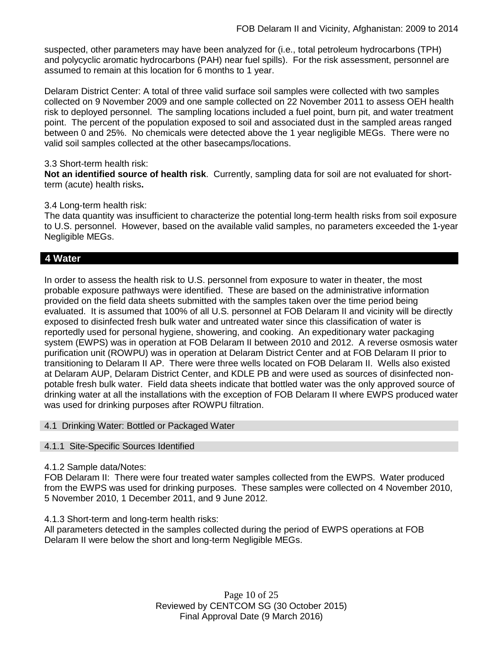suspected, other parameters may have been analyzed for (i.e., total petroleum hydrocarbons (TPH) and polycyclic aromatic hydrocarbons (PAH) near fuel spills). For the risk assessment, personnel are assumed to remain at this location for 6 months to 1 year.

Delaram District Center: A total of three valid surface soil samples were collected with two samples collected on 9 November 2009 and one sample collected on 22 November 2011 to assess OEH health risk to deployed personnel. The sampling locations included a fuel point, burn pit, and water treatment point. The percent of the population exposed to soil and associated dust in the sampled areas ranged between 0 and 25%. No chemicals were detected above the 1 year negligible MEGs. There were no valid soil samples collected at the other basecamps/locations.

### 3.3 Short-term health risk:

**Not an identified source of health risk**. Currently, sampling data for soil are not evaluated for shortterm (acute) health risks**.**

### 3.4 Long-term health risk:

The data quantity was insufficient to characterize the potential long-term health risks from soil exposure to U.S. personnel. However, based on the available valid samples, no parameters exceeded the 1-year Negligible MEGs.

# **4 Water**

In order to assess the health risk to U.S. personnel from exposure to water in theater, the most probable exposure pathways were identified. These are based on the administrative information provided on the field data sheets submitted with the samples taken over the time period being evaluated. It is assumed that 100% of all U.S. personnel at FOB Delaram II and vicinity will be directly exposed to disinfected fresh bulk water and untreated water since this classification of water is reportedly used for personal hygiene, showering, and cooking. An expeditionary water packaging system (EWPS) was in operation at FOB Delaram II between 2010 and 2012. A reverse osmosis water purification unit (ROWPU) was in operation at Delaram District Center and at FOB Delaram II prior to transitioning to Delaram II AP. There were three wells located on FOB Delaram II. Wells also existed at Delaram AUP, Delaram District Center, and KDLE PB and were used as sources of disinfected nonpotable fresh bulk water. Field data sheets indicate that bottled water was the only approved source of drinking water at all the installations with the exception of FOB Delaram II where EWPS produced water was used for drinking purposes after ROWPU filtration.

### 4.1 Drinking Water: Bottled or Packaged Water

### 4.1.1 Site-Specific Sources Identified

# 4.1.2 Sample data/Notes:

FOB Delaram II: There were four treated water samples collected from the EWPS. Water produced from the EWPS was used for drinking purposes. These samples were collected on 4 November 2010, 5 November 2010, 1 December 2011, and 9 June 2012.

# 4.1.3 Short-term and long-term health risks:

All parameters detected in the samples collected during the period of EWPS operations at FOB Delaram II were below the short and long-term Negligible MEGs.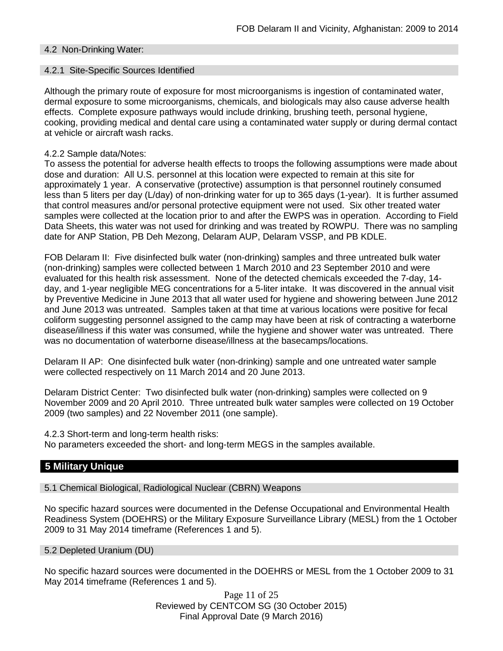### 4.2 Non-Drinking Water:

### 4.2.1 Site-Specific Sources Identified

Although the primary route of exposure for most microorganisms is ingestion of contaminated water, dermal exposure to some microorganisms, chemicals, and biologicals may also cause adverse health effects. Complete exposure pathways would include drinking, brushing teeth, personal hygiene, cooking, providing medical and dental care using a contaminated water supply or during dermal contact at vehicle or aircraft wash racks.

### 4.2.2 Sample data/Notes:

To assess the potential for adverse health effects to troops the following assumptions were made about dose and duration: All U.S. personnel at this location were expected to remain at this site for approximately 1 year. A conservative (protective) assumption is that personnel routinely consumed less than 5 liters per day (L/day) of non-drinking water for up to 365 days (1-year). It is further assumed that control measures and/or personal protective equipment were not used. Six other treated water samples were collected at the location prior to and after the EWPS was in operation. According to Field Data Sheets, this water was not used for drinking and was treated by ROWPU. There was no sampling date for ANP Station, PB Deh Mezong, Delaram AUP, Delaram VSSP, and PB KDLE.

FOB Delaram II: Five disinfected bulk water (non-drinking) samples and three untreated bulk water (non-drinking) samples were collected between 1 March 2010 and 23 September 2010 and were evaluated for this health risk assessment. None of the detected chemicals exceeded the 7-day, 14 day, and 1-year negligible MEG concentrations for a 5-liter intake. It was discovered in the annual visit by Preventive Medicine in June 2013 that all water used for hygiene and showering between June 2012 and June 2013 was untreated. Samples taken at that time at various locations were positive for fecal coliform suggesting personnel assigned to the camp may have been at risk of contracting a waterborne disease/illness if this water was consumed, while the hygiene and shower water was untreated. There was no documentation of waterborne disease/illness at the basecamps/locations.

Delaram II AP: One disinfected bulk water (non-drinking) sample and one untreated water sample were collected respectively on 11 March 2014 and 20 June 2013.

Delaram District Center: Two disinfected bulk water (non-drinking) samples were collected on 9 November 2009 and 20 April 2010. Three untreated bulk water samples were collected on 19 October 2009 (two samples) and 22 November 2011 (one sample).

4.2.3 Short-term and long-term health risks: No parameters exceeded the short- and long-term MEGS in the samples available.

# **5 Military Unique**

5.1 Chemical Biological, Radiological Nuclear (CBRN) Weapons

No specific hazard sources were documented in the Defense Occupational and Environmental Health Readiness System (DOEHRS) or the Military Exposure Surveillance Library (MESL) from the 1 October 2009 to 31 May 2014 timeframe (References 1 and 5).

#### 5.2 Depleted Uranium (DU)

No specific hazard sources were documented in the DOEHRS or MESL from the 1 October 2009 to 31 May 2014 timeframe (References 1 and 5).

> Page 11 of 25 Reviewed by CENTCOM SG (30 October 2015) Final Approval Date (9 March 2016)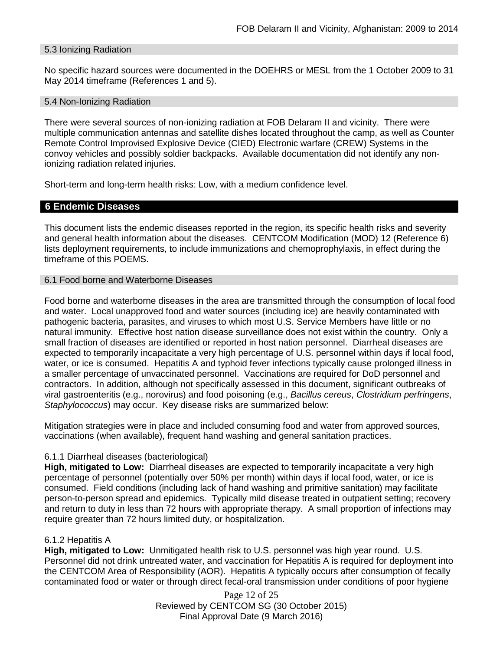### 5.3 Ionizing Radiation

No specific hazard sources were documented in the DOEHRS or MESL from the 1 October 2009 to 31 May 2014 timeframe (References 1 and 5).

#### 5.4 Non-Ionizing Radiation

There were several sources of non-ionizing radiation at FOB Delaram II and vicinity. There were multiple communication antennas and satellite dishes located throughout the camp, as well as Counter Remote Control Improvised Explosive Device (CIED) Electronic warfare (CREW) Systems in the convoy vehicles and possibly soldier backpacks. Available documentation did not identify any nonionizing radiation related injuries.

Short-term and long-term health risks: Low, with a medium confidence level.

# **6 Endemic Diseases**

This document lists the endemic diseases reported in the region, its specific health risks and severity and general health information about the diseases. CENTCOM Modification (MOD) 12 (Reference 6) lists deployment requirements, to include immunizations and chemoprophylaxis, in effect during the timeframe of this POEMS.

### 6.1 Food borne and Waterborne Diseases

Food borne and waterborne diseases in the area are transmitted through the consumption of local food and water. Local unapproved food and water sources (including ice) are heavily contaminated with pathogenic bacteria, parasites, and viruses to which most U.S. Service Members have little or no natural immunity. Effective host nation disease surveillance does not exist within the country. Only a small fraction of diseases are identified or reported in host nation personnel. Diarrheal diseases are expected to temporarily incapacitate a very high percentage of U.S. personnel within days if local food, water, or ice is consumed. Hepatitis A and typhoid fever infections typically cause prolonged illness in a smaller percentage of unvaccinated personnel. Vaccinations are required for DoD personnel and contractors. In addition, although not specifically assessed in this document, significant outbreaks of viral gastroenteritis (e.g., norovirus) and food poisoning (e.g., *Bacillus cereus*, *Clostridium perfringens*, *Staphylococcus*) may occur. Key disease risks are summarized below:

Mitigation strategies were in place and included consuming food and water from approved sources, vaccinations (when available), frequent hand washing and general sanitation practices.

### 6.1.1 Diarrheal diseases (bacteriological)

**High, mitigated to Low:** Diarrheal diseases are expected to temporarily incapacitate a very high percentage of personnel (potentially over 50% per month) within days if local food, water, or ice is consumed. Field conditions (including lack of hand washing and primitive sanitation) may facilitate person-to-person spread and epidemics. Typically mild disease treated in outpatient setting; recovery and return to duty in less than 72 hours with appropriate therapy. A small proportion of infections may require greater than 72 hours limited duty, or hospitalization.

### 6.1.2 Hepatitis A

**High, mitigated to Low:** Unmitigated health risk to U.S. personnel was high year round. U.S. Personnel did not drink untreated water, and vaccination for Hepatitis A is required for deployment into the CENTCOM Area of Responsibility (AOR). Hepatitis A typically occurs after consumption of fecally contaminated food or water or through direct fecal-oral transmission under conditions of poor hygiene

> Page 12 of 25 Reviewed by CENTCOM SG (30 October 2015) Final Approval Date (9 March 2016)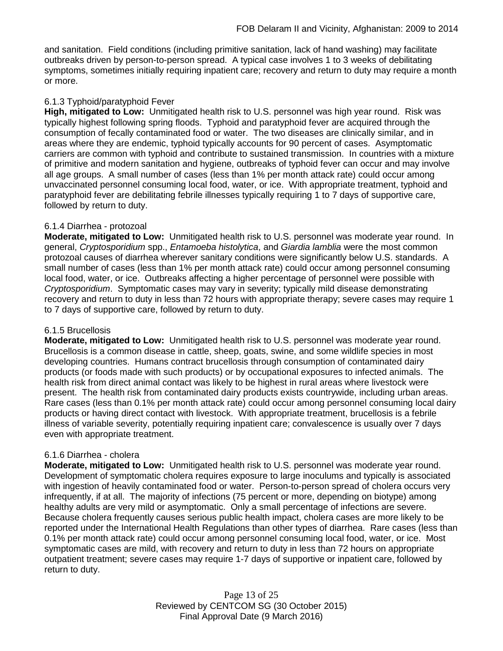and sanitation. Field conditions (including primitive sanitation, lack of hand washing) may facilitate outbreaks driven by person-to-person spread. A typical case involves 1 to 3 weeks of debilitating symptoms, sometimes initially requiring inpatient care; recovery and return to duty may require a month or more.

## 6.1.3 Typhoid/paratyphoid Fever

**High, mitigated to Low:** Unmitigated health risk to U.S. personnel was high year round. Risk was typically highest following spring floods. Typhoid and paratyphoid fever are acquired through the consumption of fecally contaminated food or water. The two diseases are clinically similar, and in areas where they are endemic, typhoid typically accounts for 90 percent of cases. Asymptomatic carriers are common with typhoid and contribute to sustained transmission. In countries with a mixture of primitive and modern sanitation and hygiene, outbreaks of typhoid fever can occur and may involve all age groups. A small number of cases (less than 1% per month attack rate) could occur among unvaccinated personnel consuming local food, water, or ice. With appropriate treatment, typhoid and paratyphoid fever are debilitating febrile illnesses typically requiring 1 to 7 days of supportive care, followed by return to duty.

### 6.1.4 Diarrhea - protozoal

**Moderate, mitigated to Low:** Unmitigated health risk to U.S. personnel was moderate year round. In general, *Cryptosporidium* spp., *Entamoeba histolytica*, and *Giardia lamblia* were the most common protozoal causes of diarrhea wherever sanitary conditions were significantly below U.S. standards. A small number of cases (less than 1% per month attack rate) could occur among personnel consuming local food, water, or ice. Outbreaks affecting a higher percentage of personnel were possible with *Cryptosporidium*. Symptomatic cases may vary in severity; typically mild disease demonstrating recovery and return to duty in less than 72 hours with appropriate therapy; severe cases may require 1 to 7 days of supportive care, followed by return to duty.

### 6.1.5 Brucellosis

**Moderate, mitigated to Low:** Unmitigated health risk to U.S. personnel was moderate year round. Brucellosis is a common disease in cattle, sheep, goats, swine, and some wildlife species in most developing countries. Humans contract brucellosis through consumption of contaminated dairy products (or foods made with such products) or by occupational exposures to infected animals. The health risk from direct animal contact was likely to be highest in rural areas where livestock were present. The health risk from contaminated dairy products exists countrywide, including urban areas. Rare cases (less than 0.1% per month attack rate) could occur among personnel consuming local dairy products or having direct contact with livestock. With appropriate treatment, brucellosis is a febrile illness of variable severity, potentially requiring inpatient care; convalescence is usually over 7 days even with appropriate treatment.

### 6.1.6 Diarrhea - cholera

**Moderate, mitigated to Low:** Unmitigated health risk to U.S. personnel was moderate year round. Development of symptomatic cholera requires exposure to large inoculums and typically is associated with ingestion of heavily contaminated food or water. Person-to-person spread of cholera occurs very infrequently, if at all. The majority of infections (75 percent or more, depending on biotype) among healthy adults are very mild or asymptomatic. Only a small percentage of infections are severe. Because cholera frequently causes serious public health impact, cholera cases are more likely to be reported under the International Health Regulations than other types of diarrhea. Rare cases (less than 0.1% per month attack rate) could occur among personnel consuming local food, water, or ice. Most symptomatic cases are mild, with recovery and return to duty in less than 72 hours on appropriate outpatient treatment; severe cases may require 1-7 days of supportive or inpatient care, followed by return to duty.

> Page 13 of 25 Reviewed by CENTCOM SG (30 October 2015) Final Approval Date (9 March 2016)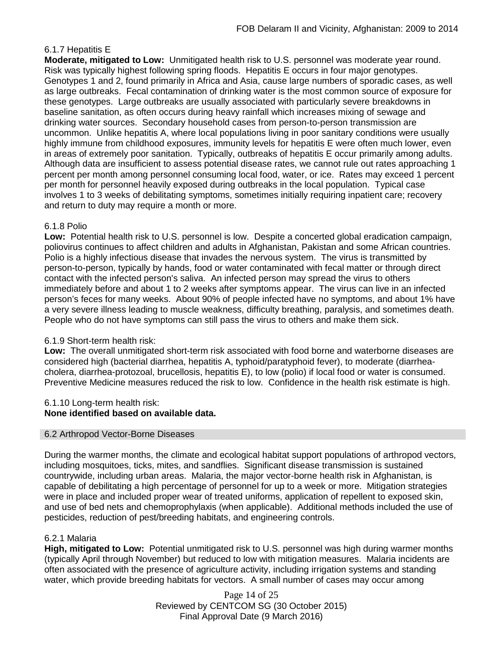# 6.1.7 Hepatitis E

**Moderate, mitigated to Low:** Unmitigated health risk to U.S. personnel was moderate year round. Risk was typically highest following spring floods. Hepatitis E occurs in four major genotypes. Genotypes 1 and 2, found primarily in Africa and Asia, cause large numbers of sporadic cases, as well as large outbreaks. Fecal contamination of drinking water is the most common source of exposure for these genotypes. Large outbreaks are usually associated with particularly severe breakdowns in baseline sanitation, as often occurs during heavy rainfall which increases mixing of sewage and drinking water sources. Secondary household cases from person-to-person transmission are uncommon. Unlike hepatitis A, where local populations living in poor sanitary conditions were usually highly immune from childhood exposures, immunity levels for hepatitis E were often much lower, even in areas of extremely poor sanitation. Typically, outbreaks of hepatitis E occur primarily among adults. Although data are insufficient to assess potential disease rates, we cannot rule out rates approaching 1 percent per month among personnel consuming local food, water, or ice. Rates may exceed 1 percent per month for personnel heavily exposed during outbreaks in the local population. Typical case involves 1 to 3 weeks of debilitating symptoms, sometimes initially requiring inpatient care; recovery and return to duty may require a month or more.

### 6.1.8 Polio

**Low:** Potential health risk to U.S. personnel is low. Despite a concerted global eradication campaign, poliovirus continues to affect children and adults in Afghanistan, Pakistan and some African countries. Polio is a highly infectious disease that invades the nervous system. The virus is transmitted by person-to-person, typically by hands, food or water contaminated with fecal matter or through direct contact with the infected person's saliva. An infected person may spread the virus to others immediately before and about 1 to 2 weeks after symptoms appear. The virus can live in an infected person's feces for many weeks. About 90% of people infected have no symptoms, and about 1% have a very severe illness leading to muscle weakness, difficulty breathing, paralysis, and sometimes death. People who do not have symptoms can still pass the virus to others and make them sick.

### 6.1.9 Short-term health risk:

**Low:** The overall unmitigated short-term risk associated with food borne and waterborne diseases are considered high (bacterial diarrhea, hepatitis A, typhoid/paratyphoid fever), to moderate (diarrheacholera, diarrhea-protozoal, brucellosis, hepatitis E), to low (polio) if local food or water is consumed. Preventive Medicine measures reduced the risk to low. Confidence in the health risk estimate is high.

#### 6.1.10 Long-term health risk: **None identified based on available data.**

### 6.2 Arthropod Vector-Borne Diseases

During the warmer months, the climate and ecological habitat support populations of arthropod vectors, including mosquitoes, ticks, mites, and sandflies. Significant disease transmission is sustained countrywide, including urban areas. Malaria, the major vector-borne health risk in Afghanistan, is capable of debilitating a high percentage of personnel for up to a week or more. Mitigation strategies were in place and included proper wear of treated uniforms, application of repellent to exposed skin, and use of bed nets and chemoprophylaxis (when applicable). Additional methods included the use of pesticides, reduction of pest/breeding habitats, and engineering controls.

### 6.2.1 Malaria

**High, mitigated to Low:** Potential unmitigated risk to U.S. personnel was high during warmer months (typically April through November) but reduced to low with mitigation measures. Malaria incidents are often associated with the presence of agriculture activity, including irrigation systems and standing water, which provide breeding habitats for vectors. A small number of cases may occur among

> Page 14 of 25 Reviewed by CENTCOM SG (30 October 2015) Final Approval Date (9 March 2016)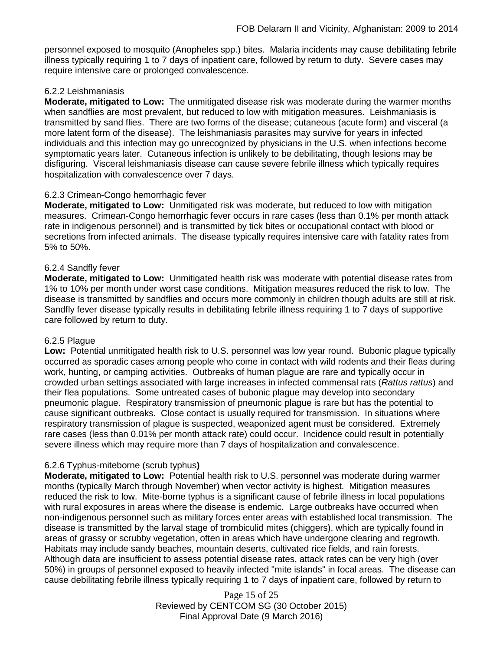personnel exposed to mosquito (Anopheles spp.) bites. Malaria incidents may cause debilitating febrile illness typically requiring 1 to 7 days of inpatient care, followed by return to duty. Severe cases may require intensive care or prolonged convalescence.

### 6.2.2 Leishmaniasis

**Moderate, mitigated to Low:** The unmitigated disease risk was moderate during the warmer months when sandflies are most prevalent, but reduced to low with mitigation measures. Leishmaniasis is transmitted by sand flies. There are two forms of the disease; cutaneous (acute form) and visceral (a more latent form of the disease). The leishmaniasis parasites may survive for years in infected individuals and this infection may go unrecognized by physicians in the U.S. when infections become symptomatic years later. Cutaneous infection is unlikely to be debilitating, though lesions may be disfiguring. Visceral leishmaniasis disease can cause severe febrile illness which typically requires hospitalization with convalescence over 7 days.

# 6.2.3 Crimean-Congo hemorrhagic fever

**Moderate, mitigated to Low:** Unmitigated risk was moderate, but reduced to low with mitigation measures. Crimean-Congo hemorrhagic fever occurs in rare cases (less than 0.1% per month attack rate in indigenous personnel) and is transmitted by tick bites or occupational contact with blood or secretions from infected animals. The disease typically requires intensive care with fatality rates from 5% to 50%.

### 6.2.4 Sandfly fever

**Moderate, mitigated to Low:** Unmitigated health risk was moderate with potential disease rates from 1% to 10% per month under worst case conditions. Mitigation measures reduced the risk to low. The disease is transmitted by sandflies and occurs more commonly in children though adults are still at risk. Sandfly fever disease typically results in debilitating febrile illness requiring 1 to 7 days of supportive care followed by return to duty.

### 6.2.5 Plague

**Low:** Potential unmitigated health risk to U.S. personnel was low year round. Bubonic plague typically occurred as sporadic cases among people who come in contact with wild rodents and their fleas during work, hunting, or camping activities. Outbreaks of human plague are rare and typically occur in crowded urban settings associated with large increases in infected commensal rats (*Rattus rattus*) and their flea populations. Some untreated cases of bubonic plague may develop into secondary pneumonic plague. Respiratory transmission of pneumonic plague is rare but has the potential to cause significant outbreaks. Close contact is usually required for transmission. In situations where respiratory transmission of plague is suspected, weaponized agent must be considered. Extremely rare cases (less than 0.01% per month attack rate) could occur. Incidence could result in potentially severe illness which may require more than 7 days of hospitalization and convalescence.

# 6.2.6 Typhus-miteborne (scrub typhus**)**

**Moderate, mitigated to Low:** Potential health risk to U.S. personnel was moderate during warmer months (typically March through November) when vector activity is highest. Mitigation measures reduced the risk to low. Mite-borne typhus is a significant cause of febrile illness in local populations with rural exposures in areas where the disease is endemic. Large outbreaks have occurred when non-indigenous personnel such as military forces enter areas with established local transmission. The disease is transmitted by the larval stage of trombiculid mites (chiggers), which are typically found in areas of grassy or scrubby vegetation, often in areas which have undergone clearing and regrowth. Habitats may include sandy beaches, mountain deserts, cultivated rice fields, and rain forests. Although data are insufficient to assess potential disease rates, attack rates can be very high (over 50%) in groups of personnel exposed to heavily infected "mite islands" in focal areas. The disease can cause debilitating febrile illness typically requiring 1 to 7 days of inpatient care, followed by return to

> Page 15 of 25 Reviewed by CENTCOM SG (30 October 2015) Final Approval Date (9 March 2016)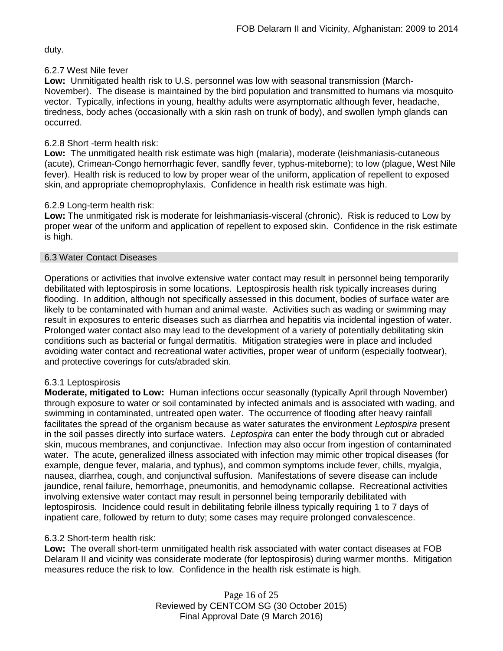duty.

### 6.2.7 West Nile fever

**Low:** Unmitigated health risk to U.S. personnel was low with seasonal transmission (March-November). The disease is maintained by the bird population and transmitted to humans via mosquito vector. Typically, infections in young, healthy adults were asymptomatic although fever, headache, tiredness, body aches (occasionally with a skin rash on trunk of body), and swollen lymph glands can occurred.

# 6.2.8 Short -term health risk:

**Low:** The unmitigated health risk estimate was high (malaria), moderate (leishmaniasis-cutaneous (acute), Crimean-Congo hemorrhagic fever, sandfly fever, typhus-miteborne); to low (plague, West Nile fever). Health risk is reduced to low by proper wear of the uniform, application of repellent to exposed skin, and appropriate chemoprophylaxis. Confidence in health risk estimate was high.

# 6.2.9 Long-term health risk:

**Low:** The unmitigated risk is moderate for leishmaniasis-visceral (chronic). Risk is reduced to Low by proper wear of the uniform and application of repellent to exposed skin. Confidence in the risk estimate is high.

### 6.3 Water Contact Diseases

Operations or activities that involve extensive water contact may result in personnel being temporarily debilitated with leptospirosis in some locations. Leptospirosis health risk typically increases during flooding. In addition, although not specifically assessed in this document, bodies of surface water are likely to be contaminated with human and animal waste. Activities such as wading or swimming may result in exposures to enteric diseases such as diarrhea and hepatitis via incidental ingestion of water. Prolonged water contact also may lead to the development of a variety of potentially debilitating skin conditions such as bacterial or fungal dermatitis. Mitigation strategies were in place and included avoiding water contact and recreational water activities, proper wear of uniform (especially footwear), and protective coverings for cuts/abraded skin.

# 6.3.1 Leptospirosis

**Moderate, mitigated to Low:** Human infections occur seasonally (typically April through November) through exposure to water or soil contaminated by infected animals and is associated with wading, and swimming in contaminated, untreated open water. The occurrence of flooding after heavy rainfall facilitates the spread of the organism because as water saturates the environment *Leptospira* present in the soil passes directly into surface waters. *Leptospira* can enter the body through cut or abraded skin, mucous membranes, and conjunctivae. Infection may also occur from ingestion of contaminated water. The acute, generalized illness associated with infection may mimic other tropical diseases (for example, dengue fever, malaria, and typhus), and common symptoms include fever, chills, myalgia, nausea, diarrhea, cough, and conjunctival suffusion. Manifestations of severe disease can include jaundice, renal failure, hemorrhage, pneumonitis, and hemodynamic collapse. Recreational activities involving extensive water contact may result in personnel being temporarily debilitated with leptospirosis. Incidence could result in debilitating febrile illness typically requiring 1 to 7 days of inpatient care, followed by return to duty; some cases may require prolonged convalescence.

# 6.3.2 Short-term health risk:

**Low:** The overall short-term unmitigated health risk associated with water contact diseases at FOB Delaram II and vicinity was considerate moderate (for leptospirosis) during warmer months. Mitigation measures reduce the risk to low. Confidence in the health risk estimate is high.

> Page 16 of 25 Reviewed by CENTCOM SG (30 October 2015) Final Approval Date (9 March 2016)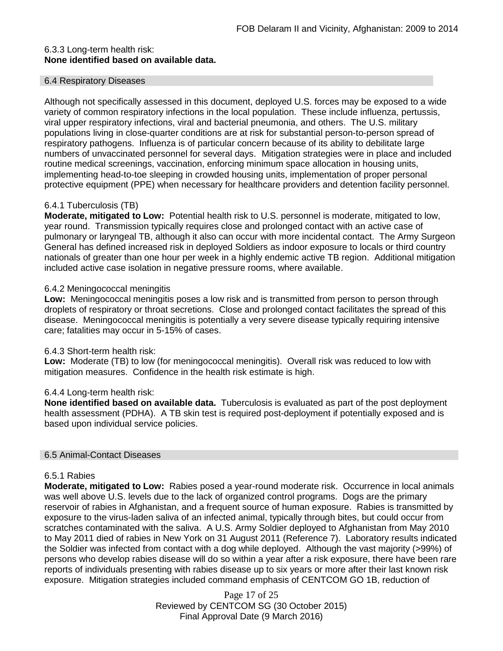# 6.3.3 Long-term health risk: **None identified based on available data.**

### 6.4 Respiratory Diseases

Although not specifically assessed in this document, deployed U.S. forces may be exposed to a wide variety of common respiratory infections in the local population. These include influenza, pertussis, viral upper respiratory infections, viral and bacterial pneumonia, and others. The U.S. military populations living in close-quarter conditions are at risk for substantial person-to-person spread of respiratory pathogens. Influenza is of particular concern because of its ability to debilitate large numbers of unvaccinated personnel for several days. Mitigation strategies were in place and included routine medical screenings, vaccination, enforcing minimum space allocation in housing units, implementing head-to-toe sleeping in crowded housing units, implementation of proper personal protective equipment (PPE) when necessary for healthcare providers and detention facility personnel.

### 6.4.1 Tuberculosis (TB)

**Moderate, mitigated to Low:** Potential health risk to U.S. personnel is moderate, mitigated to low, year round. Transmission typically requires close and prolonged contact with an active case of pulmonary or laryngeal TB, although it also can occur with more incidental contact. The Army Surgeon General has defined increased risk in deployed Soldiers as indoor exposure to locals or third country nationals of greater than one hour per week in a highly endemic active TB region. Additional mitigation included active case isolation in negative pressure rooms, where available.

### 6.4.2 Meningococcal meningitis

**Low:** Meningococcal meningitis poses a low risk and is transmitted from person to person through droplets of respiratory or throat secretions. Close and prolonged contact facilitates the spread of this disease. Meningococcal meningitis is potentially a very severe disease typically requiring intensive care; fatalities may occur in 5-15% of cases.

### 6.4.3 Short-term health risk:

**Low:** Moderate (TB) to low (for meningococcal meningitis). Overall risk was reduced to low with mitigation measures. Confidence in the health risk estimate is high.

### 6.4.4 Long-term health risk:

**None identified based on available data.** Tuberculosis is evaluated as part of the post deployment health assessment (PDHA). A TB skin test is required post-deployment if potentially exposed and is based upon individual service policies.

### 6.5 Animal-Contact Diseases

### 6.5.1 Rabies

**Moderate, mitigated to Low:** Rabies posed a year-round moderate risk. Occurrence in local animals was well above U.S. levels due to the lack of organized control programs. Dogs are the primary reservoir of rabies in Afghanistan, and a frequent source of human exposure. Rabies is transmitted by exposure to the virus-laden saliva of an infected animal, typically through bites, but could occur from scratches contaminated with the saliva. A U.S. Army Soldier deployed to Afghanistan from May 2010 to May 2011 died of rabies in New York on 31 August 2011 (Reference 7). Laboratory results indicated the Soldier was infected from contact with a dog while deployed. Although the vast majority (>99%) of persons who develop rabies disease will do so within a year after a risk exposure, there have been rare reports of individuals presenting with rabies disease up to six years or more after their last known risk exposure. Mitigation strategies included command emphasis of CENTCOM GO 1B, reduction of

> Page 17 of 25 Reviewed by CENTCOM SG (30 October 2015) Final Approval Date (9 March 2016)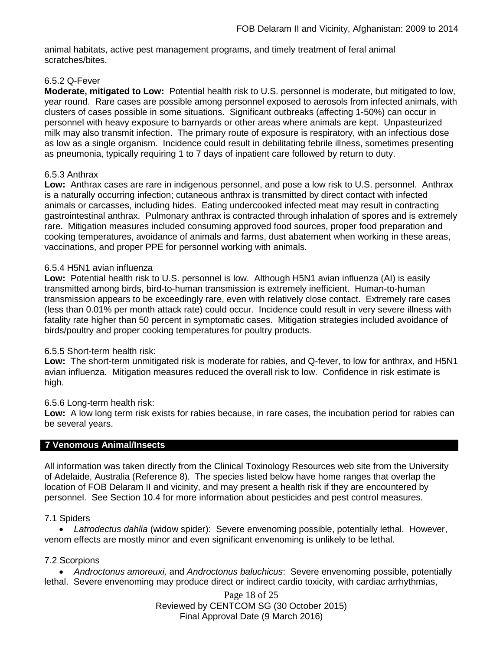animal habitats, active pest management programs, and timely treatment of feral animal scratches/bites.

### 6.5.2 Q-Fever

**Moderate, mitigated to Low:** Potential health risk to U.S. personnel is moderate, but mitigated to low, year round. Rare cases are possible among personnel exposed to aerosols from infected animals, with clusters of cases possible in some situations. Significant outbreaks (affecting 1-50%) can occur in personnel with heavy exposure to barnyards or other areas where animals are kept. Unpasteurized milk may also transmit infection. The primary route of exposure is respiratory, with an infectious dose as low as a single organism. Incidence could result in debilitating febrile illness, sometimes presenting as pneumonia, typically requiring 1 to 7 days of inpatient care followed by return to duty.

### 6.5.3 Anthrax

**Low:** Anthrax cases are rare in indigenous personnel, and pose a low risk to U.S. personnel. Anthrax is a naturally occurring infection; cutaneous anthrax is transmitted by direct contact with infected animals or carcasses, including hides. Eating undercooked infected meat may result in contracting gastrointestinal anthrax. Pulmonary anthrax is contracted through inhalation of spores and is extremely rare. Mitigation measures included consuming approved food sources, proper food preparation and cooking temperatures, avoidance of animals and farms, dust abatement when working in these areas, vaccinations, and proper PPE for personnel working with animals.

### 6.5.4 H5N1 avian influenza

**Low:** Potential health risk to U.S. personnel is low. Although H5N1 avian influenza (AI) is easily transmitted among birds, bird-to-human transmission is extremely inefficient. Human-to-human transmission appears to be exceedingly rare, even with relatively close contact. Extremely rare cases (less than 0.01% per month attack rate) could occur. Incidence could result in very severe illness with fatality rate higher than 50 percent in symptomatic cases. Mitigation strategies included avoidance of birds/poultry and proper cooking temperatures for poultry products.

### 6.5.5 Short-term health risk:

**Low:** The short-term unmitigated risk is moderate for rabies, and Q-fever, to low for anthrax, and H5N1 avian influenza. Mitigation measures reduced the overall risk to low.Confidence in risk estimate is high.

### 6.5.6 Long-term health risk:

**Low:** A low long term risk exists for rabies because, in rare cases, the incubation period for rabies can be several years.

# **7 Venomous Animal/Insects**

All information was taken directly from the Clinical Toxinology Resources web site from the University of Adelaide, Australia (Reference 8). The species listed below have home ranges that overlap the location of FOB Delaram II and vicinity, and may present a health risk if they are encountered by personnel. See Section 10.4 for more information about pesticides and pest control measures.

### 7.1 Spiders

• *Latrodectus dahlia* (widow spider): Severe envenoming possible, potentially lethal. However, venom effects are mostly minor and even significant envenoming is unlikely to be lethal.

### 7.2 Scorpions

• *Androctonus amoreuxi,* and *Androctonus baluchicus*: Severe envenoming possible, potentially lethal. Severe envenoming may produce direct or indirect cardio toxicity, with cardiac arrhythmias,

> Page 18 of 25 Reviewed by CENTCOM SG (30 October 2015) Final Approval Date (9 March 2016)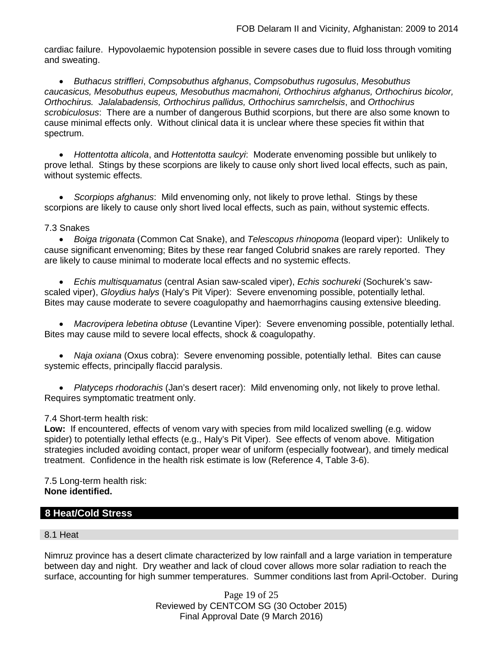cardiac failure. Hypovolaemic hypotension possible in severe cases due to fluid loss through vomiting and sweating.

• *Buthacus striffleri*, *Compsobuthus afghanus*, *Compsobuthus rugosulus*, *Mesobuthus caucasicus, Mesobuthus eupeus, Mesobuthus macmahoni, Orthochirus afghanus, Orthochirus bicolor, Orthochirus. Jalalabadensis, Orthochirus pallidus, Orthochirus samrchelsis*, and *Orthochirus scrobiculosus*: There are a number of dangerous Buthid scorpions, but there are also some known to cause minimal effects only. Without clinical data it is unclear where these species fit within that spectrum.

• *Hottentotta alticola*, and *Hottentotta saulcyi*: Moderate envenoming possible but unlikely to prove lethal. Stings by these scorpions are likely to cause only short lived local effects, such as pain, without systemic effects.

• *Scorpiops afghanus*: Mild envenoming only, not likely to prove lethal. Stings by these scorpions are likely to cause only short lived local effects, such as pain, without systemic effects.

### 7.3 Snakes

• *[Boiga](http://www.toxinology.com/fusebox.cfm?fuseaction=main.snakes.display&id=SN0722) [trigonata](http://www.toxinology.com/fusebox.cfm?fuseaction=main.snakes.display&id=SN0722)* (Common Cat Snake), and *Telescopus rhinopoma* (leopard viper): Unlikely to cause significant envenoming; Bites by these rear fanged Colubrid snakes are rarely reported. They are likely to cause minimal to moderate local effects and no systemic effects.

• *Echis multisquamatus* (central Asian saw-scaled viper), *Echis sochureki* (Sochurek's sawscaled viper), *Gloydius halys* (Haly's Pit Viper): Severe envenoming possible, potentially lethal. Bites may cause moderate to severe coagulopathy and haemorrhagins causing extensive bleeding.

• *Macrovipera lebetina obtuse* (Levantine Viper): Severe envenoming possible, potentially lethal. Bites may cause mild to severe local effects, shock & coagulopathy.

• *Naja oxiana* (Oxus cobra): Severe envenoming possible, potentially lethal. Bites can cause systemic effects, principally flaccid paralysis.

• *Platyceps rhodorachis* (Jan's desert racer): Mild envenoming only, not likely to prove lethal. Requires symptomatic treatment only.

### 7.4 Short-term health risk:

**Low:** If encountered, effects of venom vary with species from mild localized swelling (e.g. widow spider) to potentially lethal effects (e.g., Haly's Pit Viper). See effects of venom above. Mitigation strategies included avoiding contact, proper wear of uniform (especially footwear), and timely medical treatment. Confidence in the health risk estimate is low (Reference 4, Table 3-6).

7.5 Long-term health risk: **None identified.**

# **8 Heat/Cold Stress**

### 8.1 Heat

Nimruz province has a desert climate characterized by low rainfall and a large variation in temperature between day and night. Dry weather and lack of cloud cover allows more solar radiation to reach the surface, accounting for high summer temperatures. Summer conditions last from April-October. During

> Page 19 of 25 Reviewed by CENTCOM SG (30 October 2015) Final Approval Date (9 March 2016)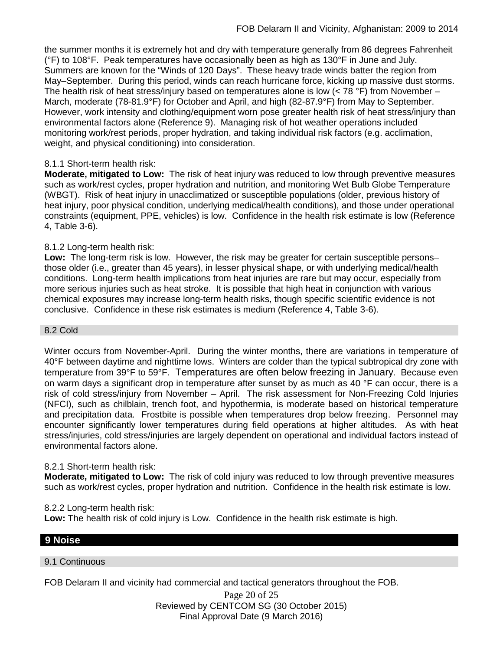the summer months it is extremely hot and dry with temperature generally from 86 degrees Fahrenheit (°F) to 108°F. Peak temperatures have occasionally been as high as 130°F in June and July. Summers are known for the "Winds of 120 Days". These heavy trade winds batter the region from May–September. During this period, winds can reach hurricane force, kicking up massive dust storms. The health risk of heat stress/injury based on temperatures alone is low  $(< 78 °F)$  from November – March, moderate (78-81.9°F) for October and April, and high (82-87.9°F) from May to September. However, work intensity and clothing/equipment worn pose greater health risk of heat stress/injury than environmental factors alone (Reference 9). Managing risk of hot weather operations included monitoring work/rest periods, proper hydration, and taking individual risk factors (e.g. acclimation, weight, and physical conditioning) into consideration.

# 8.1.1 Short-term health risk:

**Moderate, mitigated to Low:** The risk of heat injury was reduced to low through preventive measures such as work/rest cycles, proper hydration and nutrition, and monitoring Wet Bulb Globe Temperature (WBGT). Risk of heat injury in unacclimatized or susceptible populations (older, previous history of heat injury, poor physical condition, underlying medical/health conditions), and those under operational constraints (equipment, PPE, vehicles) is low. Confidence in the health risk estimate is low (Reference 4, Table 3-6).

### 8.1.2 Long-term health risk:

**Low:** The long-term risk is low. However, the risk may be greater for certain susceptible persons– those older (i.e., greater than 45 years), in lesser physical shape, or with underlying medical/health conditions. Long-term health implications from heat injuries are rare but may occur, especially from more serious injuries such as heat stroke. It is possible that high heat in conjunction with various chemical exposures may increase long-term health risks, though specific scientific evidence is not conclusive. Confidence in these risk estimates is medium (Reference 4, Table 3-6).

#### 8.2 Cold

Winter occurs from November-April. During the winter months, there are variations in temperature of 40°F between daytime and nighttime lows. Winters are colder than the typical subtropical dry zone with temperature from 39°F to 59°F. Temperatures are often below freezing in January. Because even on warm days a significant drop in temperature after sunset by as much as 40 °F can occur, there is a risk of cold stress/injury from November – April. The risk assessment for Non-Freezing Cold Injuries (NFCI), such as chilblain, trench foot, and hypothermia, is moderate based on historical temperature and precipitation data. Frostbite is possible when temperatures drop below freezing. Personnel may encounter significantly lower temperatures during field operations at higher altitudes. As with heat stress/injuries, cold stress/injuries are largely dependent on operational and individual factors instead of environmental factors alone.

### 8.2.1 Short-term health risk:

**Moderate, mitigated to Low:** The risk of cold injury was reduced to low through preventive measures such as work/rest cycles, proper hydration and nutrition. Confidence in the health risk estimate is low.

### 8.2.2 Long-term health risk:

**Low:** The health risk of cold injury is Low. Confidence in the health risk estimate is high.

# **9 Noise**

### 9.1 Continuous

FOB Delaram II and vicinity had commercial and tactical generators throughout the FOB.

Page 20 of 25 Reviewed by CENTCOM SG (30 October 2015) Final Approval Date (9 March 2016)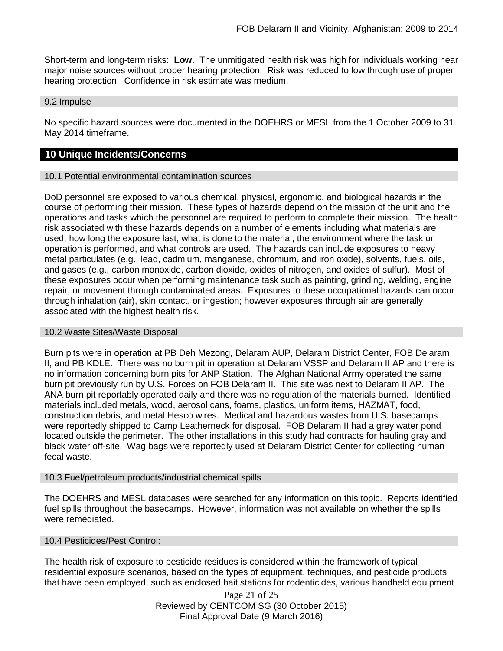Short-term and long-term risks: **Low**. The unmitigated health risk was high for individuals working near major noise sources without proper hearing protection. Risk was reduced to low through use of proper hearing protection. Confidence in risk estimate was medium.

#### 9.2 Impulse

No specific hazard sources were documented in the DOEHRS or MESL from the 1 October 2009 to 31 May 2014 timeframe.

### **10 Unique Incidents/Concerns**

### 10.1 Potential environmental contamination sources

DoD personnel are exposed to various chemical, physical, ergonomic, and biological hazards in the course of performing their mission. These types of hazards depend on the mission of the unit and the operations and tasks which the personnel are required to perform to complete their mission. The health risk associated with these hazards depends on a number of elements including what materials are used, how long the exposure last, what is done to the material, the environment where the task or operation is performed, and what controls are used. The hazards can include exposures to heavy metal particulates (e.g., lead, cadmium, manganese, chromium, and iron oxide), solvents, fuels, oils, and gases (e.g., carbon monoxide, carbon dioxide, oxides of nitrogen, and oxides of sulfur). Most of these exposures occur when performing maintenance task such as painting, grinding, welding, engine repair, or movement through contaminated areas. Exposures to these occupational hazards can occur through inhalation (air), skin contact, or ingestion; however exposures through air are generally associated with the highest health risk.

### 10.2 Waste Sites/Waste Disposal

Burn pits were in operation at PB Deh Mezong, Delaram AUP, Delaram District Center, FOB Delaram II, and PB KDLE. There was no burn pit in operation at Delaram VSSP and Delaram II AP and there is no information concerning burn pits for ANP Station. The Afghan National Army operated the same burn pit previously run by U.S. Forces on FOB Delaram II. This site was next to Delaram II AP. The ANA burn pit reportably operated daily and there was no regulation of the materials burned. Identified materials included metals, wood, aerosol cans, foams, plastics, uniform items, HAZMAT, food, construction debris, and metal Hesco wires. Medical and hazardous wastes from U.S. basecamps were reportedly shipped to Camp Leatherneck for disposal. FOB Delaram II had a grey water pond located outside the perimeter. The other installations in this study had contracts for hauling gray and black water off-site. Wag bags were reportedly used at Delaram District Center for collecting human fecal waste.

### 10.3 Fuel/petroleum products/industrial chemical spills

The DOEHRS and MESL databases were searched for any information on this topic. Reports identified fuel spills throughout the basecamps. However, information was not available on whether the spills were remediated.

### 10.4 Pesticides/Pest Control:

The health risk of exposure to pesticide residues is considered within the framework of typical residential exposure scenarios, based on the types of equipment, techniques, and pesticide products that have been employed, such as enclosed bait stations for rodenticides, various handheld equipment

> Page 21 of 25 Reviewed by CENTCOM SG (30 October 2015) Final Approval Date (9 March 2016)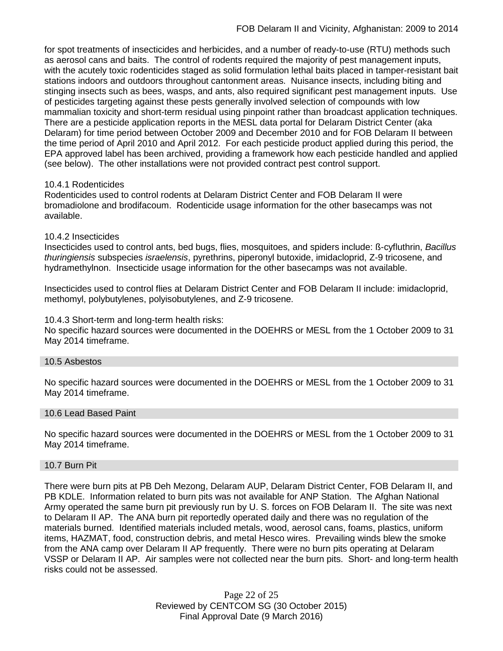for spot treatments of insecticides and herbicides, and a number of ready-to-use (RTU) methods such as aerosol cans and baits. The control of rodents required the majority of pest management inputs, with the acutely toxic rodenticides staged as solid formulation lethal baits placed in tamper-resistant bait stations indoors and outdoors throughout cantonment areas. Nuisance insects, including biting and stinging insects such as bees, wasps, and ants, also required significant pest management inputs. Use of pesticides targeting against these pests generally involved selection of compounds with low mammalian toxicity and short-term residual using pinpoint rather than broadcast application techniques. There are a pesticide application reports in the MESL data portal for Delaram District Center (aka Delaram) for time period between October 2009 and December 2010 and for FOB Delaram II between the time period of April 2010 and April 2012. For each pesticide product applied during this period, the EPA approved label has been archived, providing a framework how each pesticide handled and applied (see below). The other installations were not provided contract pest control support.

### 10.4.1 Rodenticides

Rodenticides used to control rodents at Delaram District Center and FOB Delaram II were bromadiolone and brodifacoum. Rodenticide usage information for the other basecamps was not available.

### 10.4.2 Insecticides

Insecticides used to control ants, bed bugs, flies, mosquitoes, and spiders include: ß-cyfluthrin, *Bacillus thuringiensis* subspecies *israelensis*, pyrethrins, piperonyl butoxide, imidacloprid, Z-9 tricosene, and hydramethylnon. Insecticide usage information for the other basecamps was not available.

Insecticides used to control flies at Delaram District Center and FOB Delaram II include: imidacloprid, methomyl, polybutylenes, polyisobutylenes, and Z-9 tricosene.

### 10.4.3 Short-term and long-term health risks:

No specific hazard sources were documented in the DOEHRS or MESL from the 1 October 2009 to 31 May 2014 timeframe.

### 10.5 Asbestos

No specific hazard sources were documented in the DOEHRS or MESL from the 1 October 2009 to 31 May 2014 timeframe.

### 10.6 Lead Based Paint

No specific hazard sources were documented in the DOEHRS or MESL from the 1 October 2009 to 31 May 2014 timeframe.

### 10.7 Burn Pit

There were burn pits at PB Deh Mezong, Delaram AUP, Delaram District Center, FOB Delaram II, and PB KDLE. Information related to burn pits was not available for ANP Station. The Afghan National Army operated the same burn pit previously run by U. S. forces on FOB Delaram II. The site was next to Delaram II AP. The ANA burn pit reportedly operated daily and there was no regulation of the materials burned. Identified materials included metals, wood, aerosol cans, foams, plastics, uniform items, HAZMAT, food, construction debris, and metal Hesco wires. Prevailing winds blew the smoke from the ANA camp over Delaram II AP frequently. There were no burn pits operating at Delaram VSSP or Delaram II AP. Air samples were not collected near the burn pits. Short- and long-term health risks could not be assessed.

> Page 22 of 25 Reviewed by CENTCOM SG (30 October 2015) Final Approval Date (9 March 2016)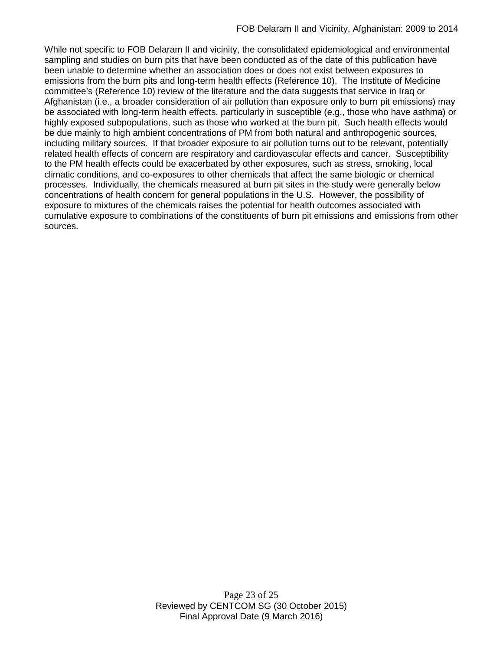While not specific to FOB Delaram II and vicinity, the consolidated epidemiological and environmental sampling and studies on burn pits that have been conducted as of the date of this publication have been unable to determine whether an association does or does not exist between exposures to emissions from the burn pits and long-term health effects (Reference 10). The Institute of Medicine committee's (Reference 10) review of the literature and the data suggests that service in Iraq or Afghanistan (i.e., a broader consideration of air pollution than exposure only to burn pit emissions) may be associated with long-term health effects, particularly in susceptible (e.g., those who have asthma) or highly exposed subpopulations, such as those who worked at the burn pit. Such health effects would be due mainly to high ambient concentrations of PM from both natural and anthropogenic sources, including military sources. If that broader exposure to air pollution turns out to be relevant, potentially related health effects of concern are respiratory and cardiovascular effects and cancer. Susceptibility to the PM health effects could be exacerbated by other exposures, such as stress, smoking, local climatic conditions, and co-exposures to other chemicals that affect the same biologic or chemical processes. Individually, the chemicals measured at burn pit sites in the study were generally below concentrations of health concern for general populations in the U.S. However, the possibility of exposure to mixtures of the chemicals raises the potential for health outcomes associated with cumulative exposure to combinations of the constituents of burn pit emissions and emissions from other sources.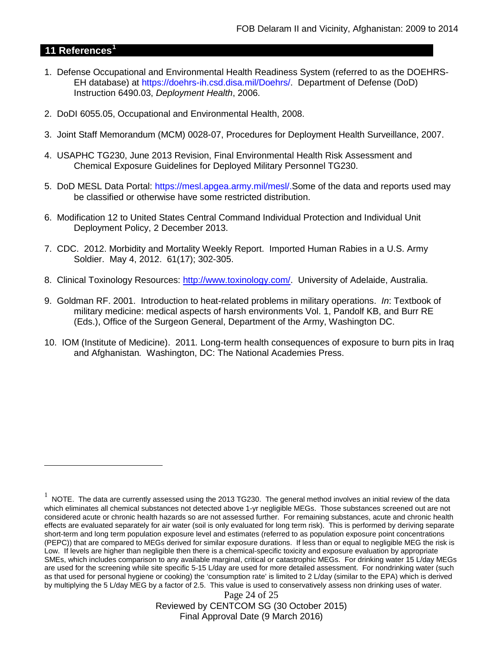# **11 References[1](#page-23-0)**

 $\overline{a}$ 

- 1. Defense Occupational and Environmental Health Readiness System (referred to as the DOEHRS-EH database) at https://doehrs-ih.csd.disa.mil/Doehrs/. Department of Defense (DoD) Instruction 6490.03, *Deployment Health*, 2006.
- 2. DoDI 6055.05, Occupational and Environmental Health, 2008.
- 3. Joint Staff Memorandum (MCM) 0028-07, Procedures for Deployment Health Surveillance, 2007.
- 4. USAPHC TG230, June 2013 Revision, Final Environmental Health Risk Assessment and Chemical Exposure Guidelines for Deployed Military Personnel TG230.
- 5. DoD MESL Data Portal: https://mesl.apgea.army.mil/mesl/.Some of the data and reports used may be classified or otherwise have some restricted distribution.
- 6. Modification 12 to United States Central Command Individual Protection and Individual Unit Deployment Policy, 2 December 2013.
- 7. CDC. 2012. Morbidity and Mortality Weekly Report. Imported Human Rabies in a U.S. Army Soldier. May 4, 2012. 61(17); 302-305.
- 8. Clinical Toxinology Resources: [http://www.toxinology.com/.](http://www.toxinology.com/) University of Adelaide, Australia.
- 9. Goldman RF. 2001. Introduction to heat-related problems in military operations. *In*: Textbook of military medicine: medical aspects of harsh environments Vol. 1, Pandolf KB, and Burr RE (Eds.), Office of the Surgeon General, Department of the Army, Washington DC.
- 10. IOM (Institute of Medicine). 2011*.* Long-term health consequences of exposure to burn pits in Iraq and Afghanistan*.* Washington, DC: The National Academies Press.

<span id="page-23-0"></span> $1$  NOTE. The data are currently assessed using the 2013 TG230. The general method involves an initial review of the data which eliminates all chemical substances not detected above 1-yr negligible MEGs. Those substances screened out are not considered acute or chronic health hazards so are not assessed further. For remaining substances, acute and chronic health effects are evaluated separately for air water (soil is only evaluated for long term risk). This is performed by deriving separate short-term and long term population exposure level and estimates (referred to as population exposure point concentrations (PEPC)) that are compared to MEGs derived for similar exposure durations. If less than or equal to negligible MEG the risk is Low. If levels are higher than negligible then there is a chemical-specific toxicity and exposure evaluation by appropriate SMEs, which includes comparison to any available marginal, critical or catastrophic MEGs. For drinking water 15 L/day MEGs are used for the screening while site specific 5-15 L/day are used for more detailed assessment. For nondrinking water (such as that used for personal hygiene or cooking) the 'consumption rate' is limited to 2 L/day (similar to the EPA) which is derived by multiplying the 5 L/day MEG by a factor of 2.5. This value is used to conservatively assess non drinking uses of water.